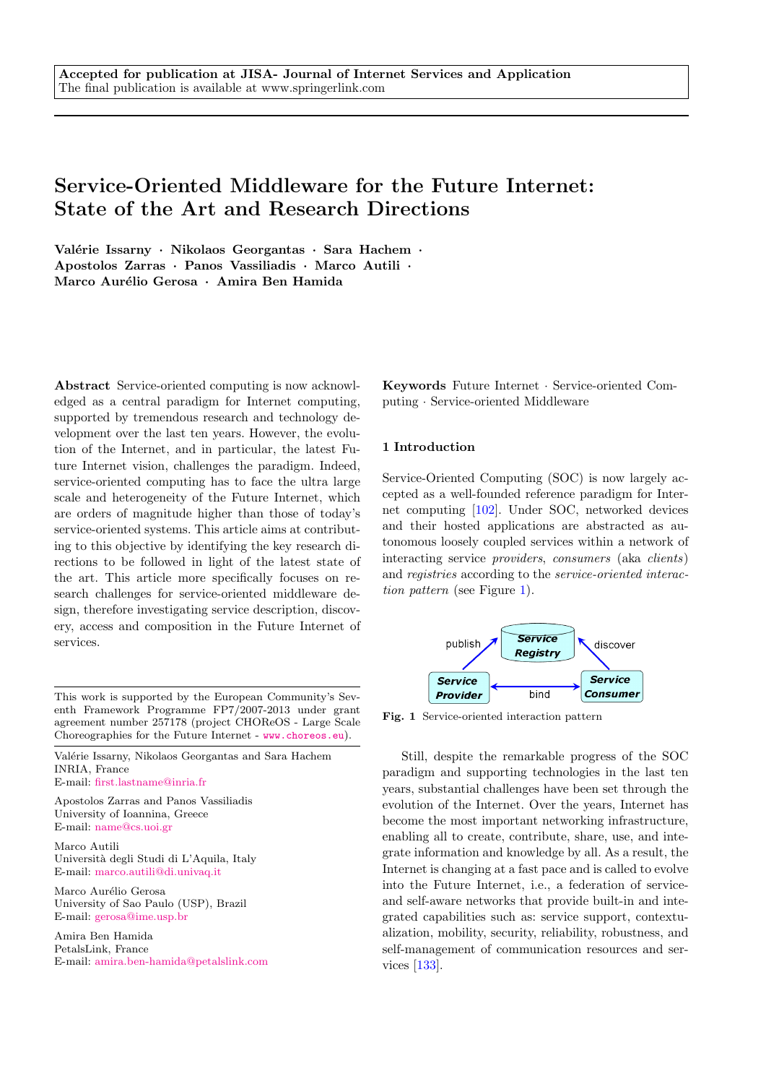# Service-Oriented Middleware for the Future Internet: State of the Art and Research Directions

Valérie Issarny · Nikolaos Georgantas · Sara Hachem · Apostolos Zarras · Panos Vassiliadis · Marco Autili · Marco Aurélio Gerosa · Amira Ben Hamida

Abstract Service-oriented computing is now acknowledged as a central paradigm for Internet computing, supported by tremendous research and technology development over the last ten years. However, the evolution of the Internet, and in particular, the latest Future Internet vision, challenges the paradigm. Indeed, service-oriented computing has to face the ultra large scale and heterogeneity of the Future Internet, which are orders of magnitude higher than those of today's service-oriented systems. This article aims at contributing to this objective by identifying the key research directions to be followed in light of the latest state of the art. This article more specifically focuses on research challenges for service-oriented middleware design, therefore investigating service description, discovery, access and composition in the Future Internet of services.

Valérie Issarny, Nikolaos Georgantas and Sara Hachem INRIA, France E-mail: [first.lastname@inria.fr](mailto:valerie.issarny@inria.fr;nikolaos.georgantas@inria.fr;sara.hachem@inria.fr)

Apostolos Zarras and Panos Vassiliadis

University of Ioannina, Greece E-mail: [name@cs.uoi.gr](mailto:zarras@cs.uoi.gr;pvassil@cs.uoi.gr)

Marco Autili Università degli Studi di L'Aquila, Italy E-mail: [marco.autili@di.univaq.it](mailto:marco.autili@di.univaq.it)

Marco Aurélio Gerosa University of Sao Paulo (USP), Brazil E-mail: [gerosa@ime.usp.br](mailto:gerosa@ime.usp.br)

Amira Ben Hamida PetalsLink, France E-mail: [amira.ben-hamida@petalslink.com](mailto:amira.ben-hamida@petalslink.com) Keywords Future Internet · Service-oriented Computing · Service-oriented Middleware

# 1 Introduction

Service-Oriented Computing (SOC) is now largely accepted as a well-founded reference paradigm for Internet computing [\[102\]](#page-22-0). Under SOC, networked devices and their hosted applications are abstracted as autonomous loosely coupled services within a network of interacting service providers, consumers (aka clients) and registries according to the service-oriented interaction pattern (see Figure [1\)](#page-0-0).



<span id="page-0-0"></span>Fig. 1 Service-oriented interaction pattern

Still, despite the remarkable progress of the SOC paradigm and supporting technologies in the last ten years, substantial challenges have been set through the evolution of the Internet. Over the years, Internet has become the most important networking infrastructure, enabling all to create, contribute, share, use, and integrate information and knowledge by all. As a result, the Internet is changing at a fast pace and is called to evolve into the Future Internet, i.e., a federation of serviceand self-aware networks that provide built-in and integrated capabilities such as: service support, contextualization, mobility, security, reliability, robustness, and self-management of communication resources and services [\[133\]](#page-23-0).

This work is supported by the European Community's Seventh Framework Programme FP7/2007-2013 under grant agreement number 257178 (project CHOReOS - Large Scale Choreographies for the Future Internet - <www.choreos.eu>).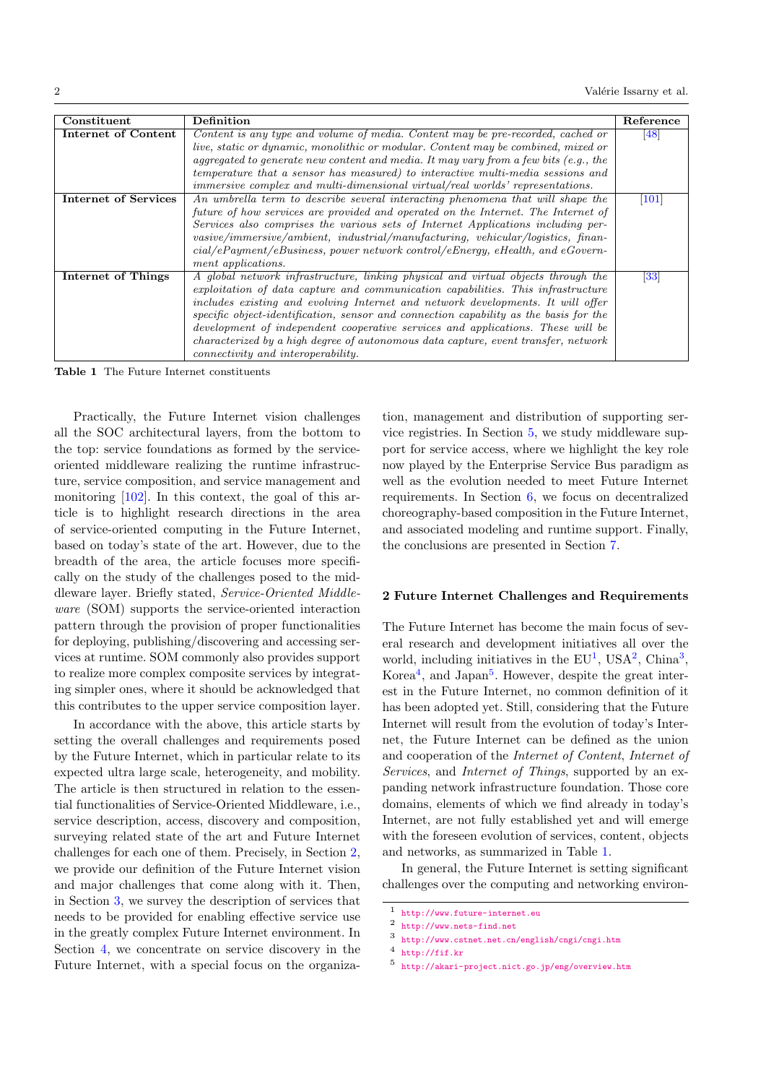| Constituent          | Definition                                                                                                                                               | Reference |
|----------------------|----------------------------------------------------------------------------------------------------------------------------------------------------------|-----------|
| Internet of Content  | Content is any type and volume of media. Content may be pre-recorded, cached or                                                                          | 48        |
|                      | live, static or dynamic, monolithic or modular. Content may be combined, mixed or                                                                        |           |
|                      | aggregated to generate new content and media. It may vary from a few bits $(e.g., the$                                                                   |           |
|                      | temperature that a sensor has measured) to interactive multi-media sessions and                                                                          |           |
|                      | immersive complex and multi-dimensional virtual/real worlds' representations.                                                                            |           |
| Internet of Services | An umbrella term to describe several interacting phenomena that will shape the                                                                           | 101       |
|                      | future of how services are provided and operated on the Internet. The Internet of                                                                        |           |
|                      | Services also comprises the various sets of Internet Applications including per-                                                                         |           |
|                      | $\textit{vasive}/\textit{immersive}/\textit{ambient}, \textit{industrial}/\textit{manufacturing}, \textit{velicular}/\textit{logistics}, \textit{final}$ |           |
|                      | $cial/ePayment/eBusiness$ , power network control/eEnergy, eHealth, and eGovern-                                                                         |           |
|                      | ment applications.                                                                                                                                       |           |
| Internet of Things   | A global network infrastructure, linking physical and virtual objects through the                                                                        | [33]      |
|                      | exploitation of data capture and communication capabilities. This infrastructure                                                                         |           |
|                      | includes existing and evolving Internet and network developments. It will offer                                                                          |           |
|                      | specific object-identification, sensor and connection capability as the basis for the                                                                    |           |
|                      | development of independent cooperative services and applications. These will be                                                                          |           |
|                      | characterized by a high degree of autonomous data capture, event transfer, network                                                                       |           |
|                      | connectivity and interoperability.                                                                                                                       |           |

<span id="page-1-6"></span>Table 1 The Future Internet constituents

Practically, the Future Internet vision challenges all the SOC architectural layers, from the bottom to the top: service foundations as formed by the serviceoriented middleware realizing the runtime infrastructure, service composition, and service management and monitoring [\[102\]](#page-22-0). In this context, the goal of this article is to highlight research directions in the area of service-oriented computing in the Future Internet, based on today's state of the art. However, due to the breadth of the area, the article focuses more specifically on the study of the challenges posed to the middleware layer. Briefly stated, Service-Oriented Middleware (SOM) supports the service-oriented interaction pattern through the provision of proper functionalities for deploying, publishing/discovering and accessing services at runtime. SOM commonly also provides support to realize more complex composite services by integrating simpler ones, where it should be acknowledged that this contributes to the upper service composition layer.

In accordance with the above, this article starts by setting the overall challenges and requirements posed by the Future Internet, which in particular relate to its expected ultra large scale, heterogeneity, and mobility. The article is then structured in relation to the essential functionalities of Service-Oriented Middleware, i.e., service description, access, discovery and composition, surveying related state of the art and Future Internet challenges for each one of them. Precisely, in Section [2,](#page-1-0) we provide our definition of the Future Internet vision and major challenges that come along with it. Then, in Section [3,](#page-3-0) we survey the description of services that needs to be provided for enabling effective service use in the greatly complex Future Internet environment. In Section [4,](#page-6-0) we concentrate on service discovery in the Future Internet, with a special focus on the organization, management and distribution of supporting service registries. In Section [5,](#page-10-0) we study middleware support for service access, where we highlight the key role now played by the Enterprise Service Bus paradigm as well as the evolution needed to meet Future Internet requirements. In Section [6,](#page-14-0) we focus on decentralized choreography-based composition in the Future Internet, and associated modeling and runtime support. Finally, the conclusions are presented in Section [7.](#page-18-0)

# <span id="page-1-0"></span>2 Future Internet Challenges and Requirements

The Future Internet has become the main focus of several research and development initiatives all over the world, including initiatives in the  $EU<sup>1</sup>$  $EU<sup>1</sup>$  $EU<sup>1</sup>$ ,  $USA<sup>2</sup>$  $USA<sup>2</sup>$  $USA<sup>2</sup>$ , China<sup>[3](#page-1-3)</sup>,  $Korea<sup>4</sup>$  $Korea<sup>4</sup>$  $Korea<sup>4</sup>$ , and Japan<sup>[5](#page-1-5)</sup>. However, despite the great interest in the Future Internet, no common definition of it has been adopted yet. Still, considering that the Future Internet will result from the evolution of today's Internet, the Future Internet can be defined as the union and cooperation of the Internet of Content, Internet of Services, and Internet of Things, supported by an expanding network infrastructure foundation. Those core domains, elements of which we find already in today's Internet, are not fully established yet and will emerge with the foreseen evolution of services, content, objects and networks, as summarized in Table [1.](#page-1-6)

In general, the Future Internet is setting significant challenges over the computing and networking environ-

<span id="page-1-1"></span><sup>1</sup> <http://www.future-internet.eu>

<span id="page-1-2"></span><sup>2</sup> <http://www.nets-find.net>

<span id="page-1-3"></span><sup>3</sup> <http://www.cstnet.net.cn/english/cngi/cngi.htm>

<span id="page-1-4"></span> $4$  <http://fif.kr>

<span id="page-1-5"></span><sup>5</sup> <http://akari-project.nict.go.jp/eng/overview.htm>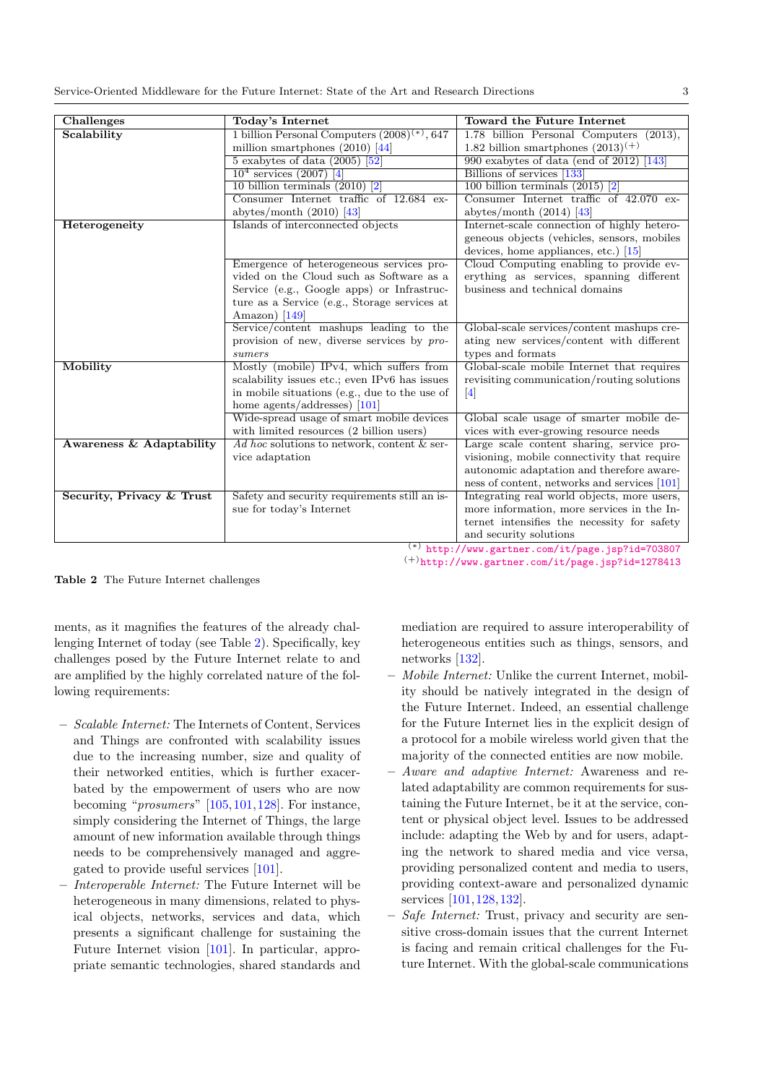| 1 billion Personal Computers $(2008)^{(*)}$ , 647<br>1.78 billion Personal Computers<br>Scalability<br>(2013),<br>1.82 billion smartphones $(2013)^{(+)}$<br>million smartphones $(2010)$ [44]<br>$5$ exabytes of data $(2005)$ [52]<br>$990$ exabytes of data (end of 2012) [143]<br>$10^4$ services $(2007)$ [4]<br>Billions of services [133]<br>10 billion terminals $(2010)$ [2]<br>100 billion terminals $(2015)$ $\boxed{2}$<br>Consumer Internet traffic of $12.684$ ex-<br>Consumer Internet traffic of $42.070$ ex-<br>abytes/month $(2010)$ [43]<br>abytes/month $(2014)$ [43]<br>Islands of interconnected objects<br>Internet-scale connection of highly hetero-<br>Heterogeneity<br>geneous objects (vehicles, sensors, mobiles<br>devices, home appliances, etc.) [15]<br>Emergence of heterogeneous services pro-<br>Cloud Computing enabling to provide ev-<br>vided on the Cloud such as Software as a<br>erything as services, spanning different<br>Service (e.g., Google apps) or Infrastruc-<br>business and technical domains<br>ture as a Service (e.g., Storage services at<br>Amazon) [149]<br>Service/content mashups leading to the<br>Global-scale services/content mashups cre-<br>provision of new, diverse services by pro-<br>ating new services/content with different<br>types and formats<br>sumers<br>Global-scale mobile Internet that requires<br>Mobility<br>Mostly (mobile) IPv4, which suffers from<br>revisiting communication/routing solutions<br>scalability issues etc.; even IPv6 has issues<br>in mobile situations (e.g., due to the use of<br>$[4]$<br>home agents/addresses) [101]<br>Global scale usage of smarter mobile de-<br>Wide-spread usage of smart mobile devices<br>with limited resources (2 billion users)<br>vices with ever-growing resource needs<br>Large scale content sharing, service pro-<br>Awareness & Adaptability<br>Ad hoc solutions to network, content & ser-<br>vice adaptation<br>visioning, mobile connectivity that require<br>autonomic adaptation and therefore aware-<br>ness of content, networks and services [101]<br>Security, Privacy & Trust<br>Integrating real world objects, more users,<br>Safety and security requirements still an is-<br>more information, more services in the In-<br>sue for today's Internet | Challenges | Today's Internet | <b>Toward the Future Internet</b> |
|---------------------------------------------------------------------------------------------------------------------------------------------------------------------------------------------------------------------------------------------------------------------------------------------------------------------------------------------------------------------------------------------------------------------------------------------------------------------------------------------------------------------------------------------------------------------------------------------------------------------------------------------------------------------------------------------------------------------------------------------------------------------------------------------------------------------------------------------------------------------------------------------------------------------------------------------------------------------------------------------------------------------------------------------------------------------------------------------------------------------------------------------------------------------------------------------------------------------------------------------------------------------------------------------------------------------------------------------------------------------------------------------------------------------------------------------------------------------------------------------------------------------------------------------------------------------------------------------------------------------------------------------------------------------------------------------------------------------------------------------------------------------------------------------------------------------------------------------------------------------------------------------------------------------------------------------------------------------------------------------------------------------------------------------------------------------------------------------------------------------------------------------------------------------------------------------------------------------------------------------------------------------------------------------------------------------|------------|------------------|-----------------------------------|
|                                                                                                                                                                                                                                                                                                                                                                                                                                                                                                                                                                                                                                                                                                                                                                                                                                                                                                                                                                                                                                                                                                                                                                                                                                                                                                                                                                                                                                                                                                                                                                                                                                                                                                                                                                                                                                                                                                                                                                                                                                                                                                                                                                                                                                                                                                                     |            |                  |                                   |
|                                                                                                                                                                                                                                                                                                                                                                                                                                                                                                                                                                                                                                                                                                                                                                                                                                                                                                                                                                                                                                                                                                                                                                                                                                                                                                                                                                                                                                                                                                                                                                                                                                                                                                                                                                                                                                                                                                                                                                                                                                                                                                                                                                                                                                                                                                                     |            |                  |                                   |
|                                                                                                                                                                                                                                                                                                                                                                                                                                                                                                                                                                                                                                                                                                                                                                                                                                                                                                                                                                                                                                                                                                                                                                                                                                                                                                                                                                                                                                                                                                                                                                                                                                                                                                                                                                                                                                                                                                                                                                                                                                                                                                                                                                                                                                                                                                                     |            |                  |                                   |
|                                                                                                                                                                                                                                                                                                                                                                                                                                                                                                                                                                                                                                                                                                                                                                                                                                                                                                                                                                                                                                                                                                                                                                                                                                                                                                                                                                                                                                                                                                                                                                                                                                                                                                                                                                                                                                                                                                                                                                                                                                                                                                                                                                                                                                                                                                                     |            |                  |                                   |
|                                                                                                                                                                                                                                                                                                                                                                                                                                                                                                                                                                                                                                                                                                                                                                                                                                                                                                                                                                                                                                                                                                                                                                                                                                                                                                                                                                                                                                                                                                                                                                                                                                                                                                                                                                                                                                                                                                                                                                                                                                                                                                                                                                                                                                                                                                                     |            |                  |                                   |
|                                                                                                                                                                                                                                                                                                                                                                                                                                                                                                                                                                                                                                                                                                                                                                                                                                                                                                                                                                                                                                                                                                                                                                                                                                                                                                                                                                                                                                                                                                                                                                                                                                                                                                                                                                                                                                                                                                                                                                                                                                                                                                                                                                                                                                                                                                                     |            |                  |                                   |
|                                                                                                                                                                                                                                                                                                                                                                                                                                                                                                                                                                                                                                                                                                                                                                                                                                                                                                                                                                                                                                                                                                                                                                                                                                                                                                                                                                                                                                                                                                                                                                                                                                                                                                                                                                                                                                                                                                                                                                                                                                                                                                                                                                                                                                                                                                                     |            |                  |                                   |
|                                                                                                                                                                                                                                                                                                                                                                                                                                                                                                                                                                                                                                                                                                                                                                                                                                                                                                                                                                                                                                                                                                                                                                                                                                                                                                                                                                                                                                                                                                                                                                                                                                                                                                                                                                                                                                                                                                                                                                                                                                                                                                                                                                                                                                                                                                                     |            |                  |                                   |
|                                                                                                                                                                                                                                                                                                                                                                                                                                                                                                                                                                                                                                                                                                                                                                                                                                                                                                                                                                                                                                                                                                                                                                                                                                                                                                                                                                                                                                                                                                                                                                                                                                                                                                                                                                                                                                                                                                                                                                                                                                                                                                                                                                                                                                                                                                                     |            |                  |                                   |
|                                                                                                                                                                                                                                                                                                                                                                                                                                                                                                                                                                                                                                                                                                                                                                                                                                                                                                                                                                                                                                                                                                                                                                                                                                                                                                                                                                                                                                                                                                                                                                                                                                                                                                                                                                                                                                                                                                                                                                                                                                                                                                                                                                                                                                                                                                                     |            |                  |                                   |
|                                                                                                                                                                                                                                                                                                                                                                                                                                                                                                                                                                                                                                                                                                                                                                                                                                                                                                                                                                                                                                                                                                                                                                                                                                                                                                                                                                                                                                                                                                                                                                                                                                                                                                                                                                                                                                                                                                                                                                                                                                                                                                                                                                                                                                                                                                                     |            |                  |                                   |
|                                                                                                                                                                                                                                                                                                                                                                                                                                                                                                                                                                                                                                                                                                                                                                                                                                                                                                                                                                                                                                                                                                                                                                                                                                                                                                                                                                                                                                                                                                                                                                                                                                                                                                                                                                                                                                                                                                                                                                                                                                                                                                                                                                                                                                                                                                                     |            |                  |                                   |
|                                                                                                                                                                                                                                                                                                                                                                                                                                                                                                                                                                                                                                                                                                                                                                                                                                                                                                                                                                                                                                                                                                                                                                                                                                                                                                                                                                                                                                                                                                                                                                                                                                                                                                                                                                                                                                                                                                                                                                                                                                                                                                                                                                                                                                                                                                                     |            |                  |                                   |
|                                                                                                                                                                                                                                                                                                                                                                                                                                                                                                                                                                                                                                                                                                                                                                                                                                                                                                                                                                                                                                                                                                                                                                                                                                                                                                                                                                                                                                                                                                                                                                                                                                                                                                                                                                                                                                                                                                                                                                                                                                                                                                                                                                                                                                                                                                                     |            |                  |                                   |
|                                                                                                                                                                                                                                                                                                                                                                                                                                                                                                                                                                                                                                                                                                                                                                                                                                                                                                                                                                                                                                                                                                                                                                                                                                                                                                                                                                                                                                                                                                                                                                                                                                                                                                                                                                                                                                                                                                                                                                                                                                                                                                                                                                                                                                                                                                                     |            |                  |                                   |
|                                                                                                                                                                                                                                                                                                                                                                                                                                                                                                                                                                                                                                                                                                                                                                                                                                                                                                                                                                                                                                                                                                                                                                                                                                                                                                                                                                                                                                                                                                                                                                                                                                                                                                                                                                                                                                                                                                                                                                                                                                                                                                                                                                                                                                                                                                                     |            |                  |                                   |
|                                                                                                                                                                                                                                                                                                                                                                                                                                                                                                                                                                                                                                                                                                                                                                                                                                                                                                                                                                                                                                                                                                                                                                                                                                                                                                                                                                                                                                                                                                                                                                                                                                                                                                                                                                                                                                                                                                                                                                                                                                                                                                                                                                                                                                                                                                                     |            |                  |                                   |
|                                                                                                                                                                                                                                                                                                                                                                                                                                                                                                                                                                                                                                                                                                                                                                                                                                                                                                                                                                                                                                                                                                                                                                                                                                                                                                                                                                                                                                                                                                                                                                                                                                                                                                                                                                                                                                                                                                                                                                                                                                                                                                                                                                                                                                                                                                                     |            |                  |                                   |
|                                                                                                                                                                                                                                                                                                                                                                                                                                                                                                                                                                                                                                                                                                                                                                                                                                                                                                                                                                                                                                                                                                                                                                                                                                                                                                                                                                                                                                                                                                                                                                                                                                                                                                                                                                                                                                                                                                                                                                                                                                                                                                                                                                                                                                                                                                                     |            |                  |                                   |
|                                                                                                                                                                                                                                                                                                                                                                                                                                                                                                                                                                                                                                                                                                                                                                                                                                                                                                                                                                                                                                                                                                                                                                                                                                                                                                                                                                                                                                                                                                                                                                                                                                                                                                                                                                                                                                                                                                                                                                                                                                                                                                                                                                                                                                                                                                                     |            |                  |                                   |
|                                                                                                                                                                                                                                                                                                                                                                                                                                                                                                                                                                                                                                                                                                                                                                                                                                                                                                                                                                                                                                                                                                                                                                                                                                                                                                                                                                                                                                                                                                                                                                                                                                                                                                                                                                                                                                                                                                                                                                                                                                                                                                                                                                                                                                                                                                                     |            |                  |                                   |
|                                                                                                                                                                                                                                                                                                                                                                                                                                                                                                                                                                                                                                                                                                                                                                                                                                                                                                                                                                                                                                                                                                                                                                                                                                                                                                                                                                                                                                                                                                                                                                                                                                                                                                                                                                                                                                                                                                                                                                                                                                                                                                                                                                                                                                                                                                                     |            |                  |                                   |
|                                                                                                                                                                                                                                                                                                                                                                                                                                                                                                                                                                                                                                                                                                                                                                                                                                                                                                                                                                                                                                                                                                                                                                                                                                                                                                                                                                                                                                                                                                                                                                                                                                                                                                                                                                                                                                                                                                                                                                                                                                                                                                                                                                                                                                                                                                                     |            |                  |                                   |
|                                                                                                                                                                                                                                                                                                                                                                                                                                                                                                                                                                                                                                                                                                                                                                                                                                                                                                                                                                                                                                                                                                                                                                                                                                                                                                                                                                                                                                                                                                                                                                                                                                                                                                                                                                                                                                                                                                                                                                                                                                                                                                                                                                                                                                                                                                                     |            |                  |                                   |
|                                                                                                                                                                                                                                                                                                                                                                                                                                                                                                                                                                                                                                                                                                                                                                                                                                                                                                                                                                                                                                                                                                                                                                                                                                                                                                                                                                                                                                                                                                                                                                                                                                                                                                                                                                                                                                                                                                                                                                                                                                                                                                                                                                                                                                                                                                                     |            |                  |                                   |
|                                                                                                                                                                                                                                                                                                                                                                                                                                                                                                                                                                                                                                                                                                                                                                                                                                                                                                                                                                                                                                                                                                                                                                                                                                                                                                                                                                                                                                                                                                                                                                                                                                                                                                                                                                                                                                                                                                                                                                                                                                                                                                                                                                                                                                                                                                                     |            |                  |                                   |
|                                                                                                                                                                                                                                                                                                                                                                                                                                                                                                                                                                                                                                                                                                                                                                                                                                                                                                                                                                                                                                                                                                                                                                                                                                                                                                                                                                                                                                                                                                                                                                                                                                                                                                                                                                                                                                                                                                                                                                                                                                                                                                                                                                                                                                                                                                                     |            |                  |                                   |
|                                                                                                                                                                                                                                                                                                                                                                                                                                                                                                                                                                                                                                                                                                                                                                                                                                                                                                                                                                                                                                                                                                                                                                                                                                                                                                                                                                                                                                                                                                                                                                                                                                                                                                                                                                                                                                                                                                                                                                                                                                                                                                                                                                                                                                                                                                                     |            |                  |                                   |
|                                                                                                                                                                                                                                                                                                                                                                                                                                                                                                                                                                                                                                                                                                                                                                                                                                                                                                                                                                                                                                                                                                                                                                                                                                                                                                                                                                                                                                                                                                                                                                                                                                                                                                                                                                                                                                                                                                                                                                                                                                                                                                                                                                                                                                                                                                                     |            |                  |                                   |
|                                                                                                                                                                                                                                                                                                                                                                                                                                                                                                                                                                                                                                                                                                                                                                                                                                                                                                                                                                                                                                                                                                                                                                                                                                                                                                                                                                                                                                                                                                                                                                                                                                                                                                                                                                                                                                                                                                                                                                                                                                                                                                                                                                                                                                                                                                                     |            |                  |                                   |
| ternet intensifies the necessity for safety<br>and security solutions                                                                                                                                                                                                                                                                                                                                                                                                                                                                                                                                                                                                                                                                                                                                                                                                                                                                                                                                                                                                                                                                                                                                                                                                                                                                                                                                                                                                                                                                                                                                                                                                                                                                                                                                                                                                                                                                                                                                                                                                                                                                                                                                                                                                                                               |            |                  |                                   |
| $(*)$ http://www.gartner.com/it/page.jsp?id=703807                                                                                                                                                                                                                                                                                                                                                                                                                                                                                                                                                                                                                                                                                                                                                                                                                                                                                                                                                                                                                                                                                                                                                                                                                                                                                                                                                                                                                                                                                                                                                                                                                                                                                                                                                                                                                                                                                                                                                                                                                                                                                                                                                                                                                                                                  |            |                  |                                   |

<span id="page-2-0"></span>Table 2 The Future Internet challenges

ments, as it magnifies the features of the already challenging Internet of today (see Table [2\)](#page-2-0). Specifically, key challenges posed by the Future Internet relate to and are amplified by the highly correlated nature of the following requirements:

- Scalable Internet: The Internets of Content, Services and Things are confronted with scalability issues due to the increasing number, size and quality of their networked entities, which is further exacerbated by the empowerment of users who are now becoming "prosumers" [\[105,](#page-22-2)[101,](#page-22-1)[128\]](#page-23-2). For instance, simply considering the Internet of Things, the large amount of new information available through things needs to be comprehensively managed and aggregated to provide useful services [\[101\]](#page-22-1).
- Interoperable Internet: The Future Internet will be heterogeneous in many dimensions, related to physical objects, networks, services and data, which presents a significant challenge for sustaining the Future Internet vision [\[101\]](#page-22-1). In particular, appropriate semantic technologies, shared standards and

mediation are required to assure interoperability of heterogeneous entities such as things, sensors, and networks [\[132\]](#page-23-3).

(+)<http://www.gartner.com/it/page.jsp?id=1278413>

- Mobile Internet: Unlike the current Internet, mobility should be natively integrated in the design of the Future Internet. Indeed, an essential challenge for the Future Internet lies in the explicit design of a protocol for a mobile wireless world given that the majority of the connected entities are now mobile.
- Aware and adaptive Internet: Awareness and related adaptability are common requirements for sustaining the Future Internet, be it at the service, content or physical object level. Issues to be addressed include: adapting the Web by and for users, adapting the network to shared media and vice versa, providing personalized content and media to users, providing context-aware and personalized dynamic services [\[101,](#page-22-1)[128,](#page-23-2)[132\]](#page-23-3).
- Safe Internet: Trust, privacy and security are sensitive cross-domain issues that the current Internet is facing and remain critical challenges for the Future Internet. With the global-scale communications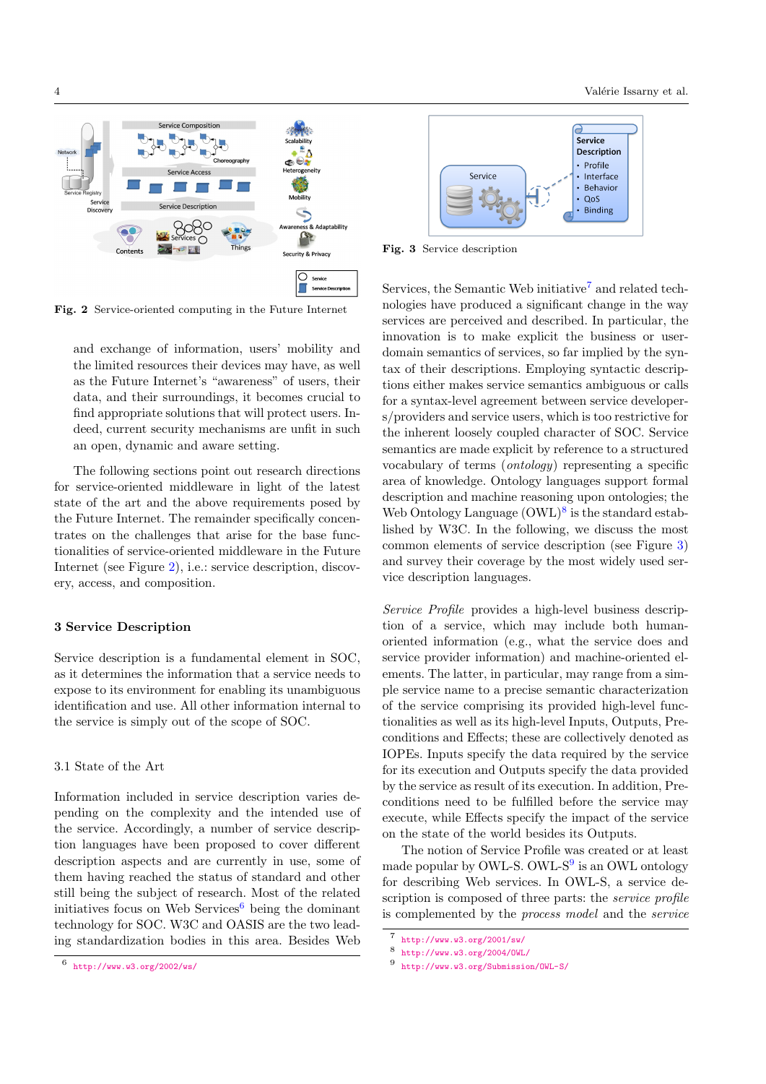Service Composition  $\frac{1}{2}$ .<br>Choreography  $\bullet$   $\ominus$ eterogeneit もり Mobility Servic vice Descriptio Disco  $\mathfrak{S}$ ness & Adap<br>**Adapta** oXC  $\subset$ Contents Security & Privacy

<span id="page-3-1"></span>Fig. 2 Service-oriented computing in the Future Internet

and exchange of information, users' mobility and the limited resources their devices may have, as well as the Future Internet's "awareness" of users, their data, and their surroundings, it becomes crucial to find appropriate solutions that will protect users. Indeed, current security mechanisms are unfit in such an open, dynamic and aware setting.

The following sections point out research directions for service-oriented middleware in light of the latest state of the art and the above requirements posed by the Future Internet. The remainder specifically concentrates on the challenges that arise for the base functionalities of service-oriented middleware in the Future Internet (see Figure [2\)](#page-3-1), i.e.: service description, discovery, access, and composition.

## <span id="page-3-0"></span>3 Service Description

Service description is a fundamental element in SOC, as it determines the information that a service needs to expose to its environment for enabling its unambiguous identification and use. All other information internal to the service is simply out of the scope of SOC.

# 3.1 State of the Art

Information included in service description varies depending on the complexity and the intended use of the service. Accordingly, a number of service description languages have been proposed to cover different description aspects and are currently in use, some of them having reached the status of standard and other still being the subject of research. Most of the related initiatives focus on Web Services $<sup>6</sup>$  $<sup>6</sup>$  $<sup>6</sup>$  being the dominant</sup> technology for SOC. W3C and OASIS are the two leading standardization bodies in this area. Besides Web

Service **Description** • Profile Service • Interface • Behavior  $\cdot$  QoS

<span id="page-3-5"></span>Fig. 3 Service description

Services, the Semantic Web initiative<sup>[7](#page-3-3)</sup> and related technologies have produced a significant change in the way services are perceived and described. In particular, the innovation is to make explicit the business or userdomain semantics of services, so far implied by the syntax of their descriptions. Employing syntactic descriptions either makes service semantics ambiguous or calls for a syntax-level agreement between service developers/providers and service users, which is too restrictive for the inherent loosely coupled character of SOC. Service semantics are made explicit by reference to a structured vocabulary of terms (ontology) representing a specific area of knowledge. Ontology languages support formal description and machine reasoning upon ontologies; the Web Ontology Language  $(OWL)^8$  $(OWL)^8$  is the standard established by W3C. In the following, we discuss the most common elements of service description (see Figure [3\)](#page-3-5) and survey their coverage by the most widely used service description languages.

Service Profile provides a high-level business description of a service, which may include both humanoriented information (e.g., what the service does and service provider information) and machine-oriented elements. The latter, in particular, may range from a simple service name to a precise semantic characterization of the service comprising its provided high-level functionalities as well as its high-level Inputs, Outputs, Preconditions and Effects; these are collectively denoted as IOPEs. Inputs specify the data required by the service for its execution and Outputs specify the data provided by the service as result of its execution. In addition, Preconditions need to be fulfilled before the service may execute, while Effects specify the impact of the service on the state of the world besides its Outputs.

The notion of Service Profile was created or at least made popular by OWL-S. OWL-S<sup>[9](#page-3-6)</sup> is an OWL ontology for describing Web services. In OWL-S, a service description is composed of three parts: the *service profile* is complemented by the process model and the service



· Binding

<span id="page-3-2"></span><sup>6</sup> <http://www.w3.org/2002/ws/>

<span id="page-3-4"></span><span id="page-3-3"></span> $7$  <http://www.w3.org/2001/sw/>

<sup>8</sup> <http://www.w3.org/2004/OWL/>

<span id="page-3-6"></span><sup>9</sup> <http://www.w3.org/Submission/OWL-S/>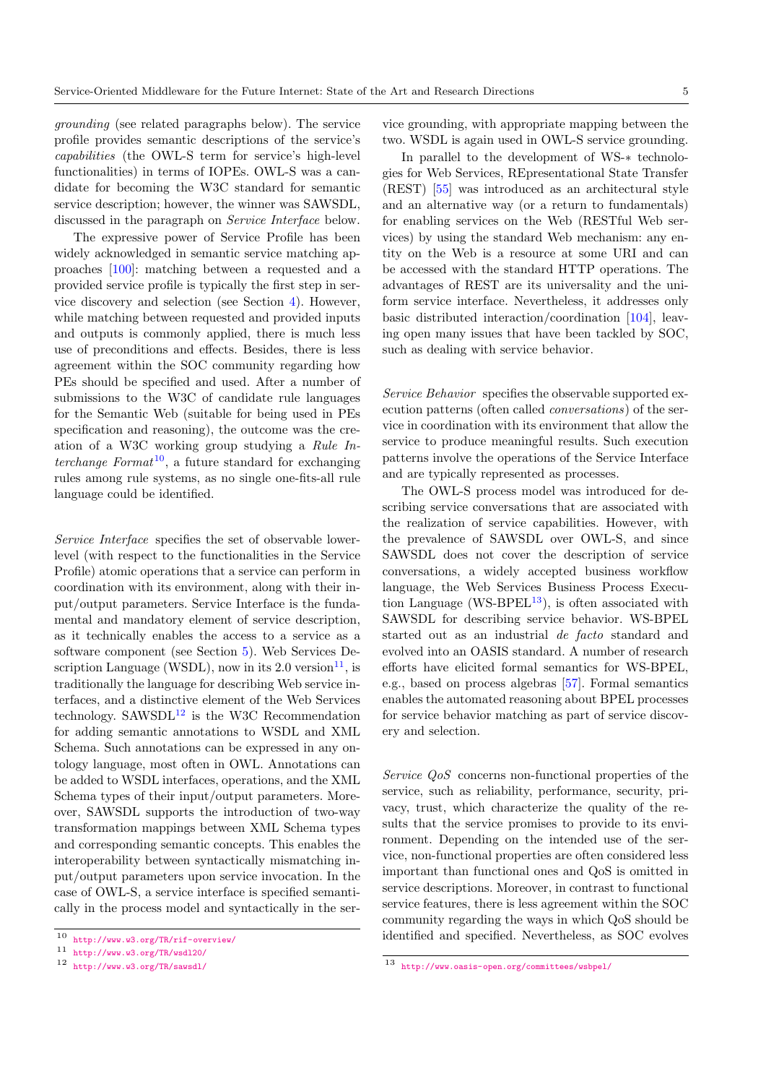grounding (see related paragraphs below). The service profile provides semantic descriptions of the service's capabilities (the OWL-S term for service's high-level functionalities) in terms of IOPEs. OWL-S was a candidate for becoming the W3C standard for semantic service description; however, the winner was SAWSDL, discussed in the paragraph on Service Interface below.

The expressive power of Service Profile has been widely acknowledged in semantic service matching approaches [\[100\]](#page-22-3): matching between a requested and a provided service profile is typically the first step in service discovery and selection (see Section [4\)](#page-6-0). However, while matching between requested and provided inputs and outputs is commonly applied, there is much less use of preconditions and effects. Besides, there is less agreement within the SOC community regarding how PEs should be specified and used. After a number of submissions to the W3C of candidate rule languages for the Semantic Web (suitable for being used in PEs specification and reasoning), the outcome was the creation of a W3C working group studying a Rule In-terchange Format<sup>[10](#page-4-0)</sup>, a future standard for exchanging rules among rule systems, as no single one-fits-all rule language could be identified.

Service Interface specifies the set of observable lowerlevel (with respect to the functionalities in the Service Profile) atomic operations that a service can perform in coordination with its environment, along with their input/output parameters. Service Interface is the fundamental and mandatory element of service description, as it technically enables the access to a service as a software component (see Section [5\)](#page-10-0). Web Services Description Language (WSDL), now in its  $2.0 \text{ version}^{11}$  $2.0 \text{ version}^{11}$  $2.0 \text{ version}^{11}$ , is traditionally the language for describing Web service interfaces, and a distinctive element of the Web Services technology.  $SAWSDL<sup>12</sup>$  $SAWSDL<sup>12</sup>$  $SAWSDL<sup>12</sup>$  is the W3C Recommendation for adding semantic annotations to WSDL and XML Schema. Such annotations can be expressed in any ontology language, most often in OWL. Annotations can be added to WSDL interfaces, operations, and the XML Schema types of their input/output parameters. Moreover, SAWSDL supports the introduction of two-way transformation mappings between XML Schema types and corresponding semantic concepts. This enables the interoperability between syntactically mismatching input/output parameters upon service invocation. In the case of OWL-S, a service interface is specified semantically in the process model and syntactically in the ser-

vice grounding, with appropriate mapping between the two. WSDL is again used in OWL-S service grounding.

In parallel to the development of WS-∗ technologies for Web Services, REpresentational State Transfer (REST) [\[55\]](#page-21-4) was introduced as an architectural style and an alternative way (or a return to fundamentals) for enabling services on the Web (RESTful Web services) by using the standard Web mechanism: any entity on the Web is a resource at some URI and can be accessed with the standard HTTP operations. The advantages of REST are its universality and the uniform service interface. Nevertheless, it addresses only basic distributed interaction/coordination [\[104\]](#page-22-4), leaving open many issues that have been tackled by SOC, such as dealing with service behavior.

Service Behavior specifies the observable supported execution patterns (often called conversations) of the service in coordination with its environment that allow the service to produce meaningful results. Such execution patterns involve the operations of the Service Interface and are typically represented as processes.

The OWL-S process model was introduced for describing service conversations that are associated with the realization of service capabilities. However, with the prevalence of SAWSDL over OWL-S, and since SAWSDL does not cover the description of service conversations, a widely accepted business workflow language, the Web Services Business Process Execu-tion Language (WS-BPEL<sup>[13](#page-4-3)</sup>), is often associated with SAWSDL for describing service behavior. WS-BPEL started out as an industrial de facto standard and evolved into an OASIS standard. A number of research efforts have elicited formal semantics for WS-BPEL, e.g., based on process algebras [\[57\]](#page-21-5). Formal semantics enables the automated reasoning about BPEL processes for service behavior matching as part of service discovery and selection.

Service QoS concerns non-functional properties of the service, such as reliability, performance, security, privacy, trust, which characterize the quality of the results that the service promises to provide to its environment. Depending on the intended use of the service, non-functional properties are often considered less important than functional ones and QoS is omitted in service descriptions. Moreover, in contrast to functional service features, there is less agreement within the SOC community regarding the ways in which QoS should be identified and specified. Nevertheless, as SOC evolves

<span id="page-4-0"></span><sup>10</sup> <http://www.w3.org/TR/rif-overview/>

<span id="page-4-1"></span><sup>11</sup> <http://www.w3.org/TR/wsdl20/>

<span id="page-4-2"></span><sup>12</sup> <http://www.w3.org/TR/sawsdl/>

<span id="page-4-3"></span><sup>13</sup> <http://www.oasis-open.org/committees/wsbpel/>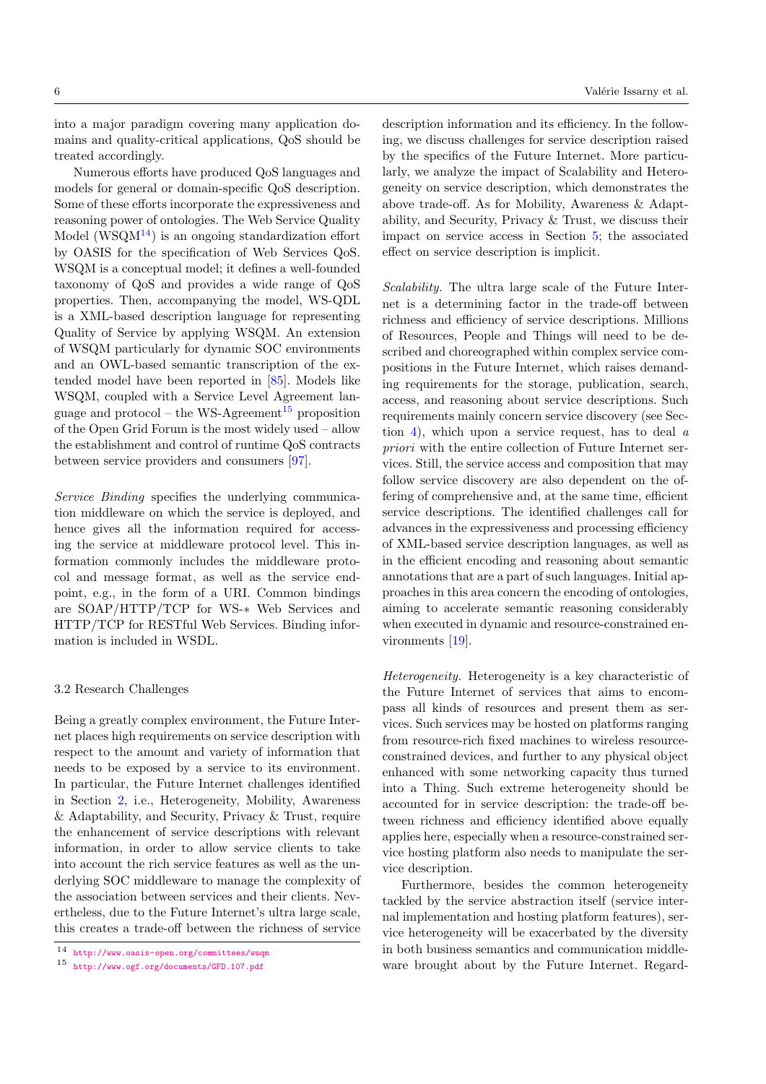into a major paradigm covering many application domains and quality-critical applications, QoS should be treated accordingly.

Numerous efforts have produced QoS languages and models for general or domain-specific QoS description. Some of these efforts incorporate the expressiveness and reasoning power of ontologies. The Web Service Quality Model (WSQM $^{14}$  $^{14}$  $^{14}$ ) is an ongoing standardization effort by OASIS for the specification of Web Services QoS. WSQM is a conceptual model; it defines a well-founded taxonomy of QoS and provides a wide range of QoS properties. Then, accompanying the model, WS-QDL is a XML-based description language for representing Quality of Service by applying WSQM. An extension of WSQM particularly for dynamic SOC environments and an OWL-based semantic transcription of the extended model have been reported in [\[85\]](#page-22-5). Models like WSQM, coupled with a Service Level Agreement lan-guage and protocol – the WS-Agreement<sup>[15](#page-5-1)</sup> proposition of the Open Grid Forum is the most widely used – allow the establishment and control of runtime QoS contracts between service providers and consumers [\[97\]](#page-22-6).

Service Binding specifies the underlying communication middleware on which the service is deployed, and hence gives all the information required for accessing the service at middleware protocol level. This information commonly includes the middleware protocol and message format, as well as the service endpoint, e.g., in the form of a URI. Common bindings are SOAP/HTTP/TCP for WS-∗ Web Services and HTTP/TCP for RESTful Web Services. Binding information is included in WSDL.

#### <span id="page-5-2"></span>3.2 Research Challenges

Being a greatly complex environment, the Future Internet places high requirements on service description with respect to the amount and variety of information that needs to be exposed by a service to its environment. In particular, the Future Internet challenges identified in Section [2,](#page-1-0) i.e., Heterogeneity, Mobility, Awareness & Adaptability, and Security, Privacy & Trust, require the enhancement of service descriptions with relevant information, in order to allow service clients to take into account the rich service features as well as the underlying SOC middleware to manage the complexity of the association between services and their clients. Nevertheless, due to the Future Internet's ultra large scale, this creates a trade-off between the richness of service

description information and its efficiency. In the following, we discuss challenges for service description raised by the specifics of the Future Internet. More particularly, we analyze the impact of Scalability and Heterogeneity on service description, which demonstrates the above trade-off. As for Mobility, Awareness & Adaptability, and Security, Privacy & Trust, we discuss their impact on service access in Section [5;](#page-10-0) the associated effect on service description is implicit.

Scalability. The ultra large scale of the Future Internet is a determining factor in the trade-off between richness and efficiency of service descriptions. Millions of Resources, People and Things will need to be described and choreographed within complex service compositions in the Future Internet, which raises demanding requirements for the storage, publication, search, access, and reasoning about service descriptions. Such requirements mainly concern service discovery (see Section [4\)](#page-6-0), which upon a service request, has to deal a priori with the entire collection of Future Internet services. Still, the service access and composition that may follow service discovery are also dependent on the offering of comprehensive and, at the same time, efficient service descriptions. The identified challenges call for advances in the expressiveness and processing efficiency of XML-based service description languages, as well as in the efficient encoding and reasoning about semantic annotations that are a part of such languages. Initial approaches in this area concern the encoding of ontologies, aiming to accelerate semantic reasoning considerably when executed in dynamic and resource-constrained environments [\[19\]](#page-20-2).

Heterogeneity. Heterogeneity is a key characteristic of the Future Internet of services that aims to encompass all kinds of resources and present them as services. Such services may be hosted on platforms ranging from resource-rich fixed machines to wireless resourceconstrained devices, and further to any physical object enhanced with some networking capacity thus turned into a Thing. Such extreme heterogeneity should be accounted for in service description: the trade-off between richness and efficiency identified above equally applies here, especially when a resource-constrained service hosting platform also needs to manipulate the service description.

Furthermore, besides the common heterogeneity tackled by the service abstraction itself (service internal implementation and hosting platform features), service heterogeneity will be exacerbated by the diversity in both business semantics and communication middleware brought about by the Future Internet. Regard-

<span id="page-5-0"></span><sup>14</sup> <http://www.oasis-open.org/committees/wsqm>

<span id="page-5-1"></span><sup>15</sup> <http://www.ogf.org/documents/GFD.107.pdf>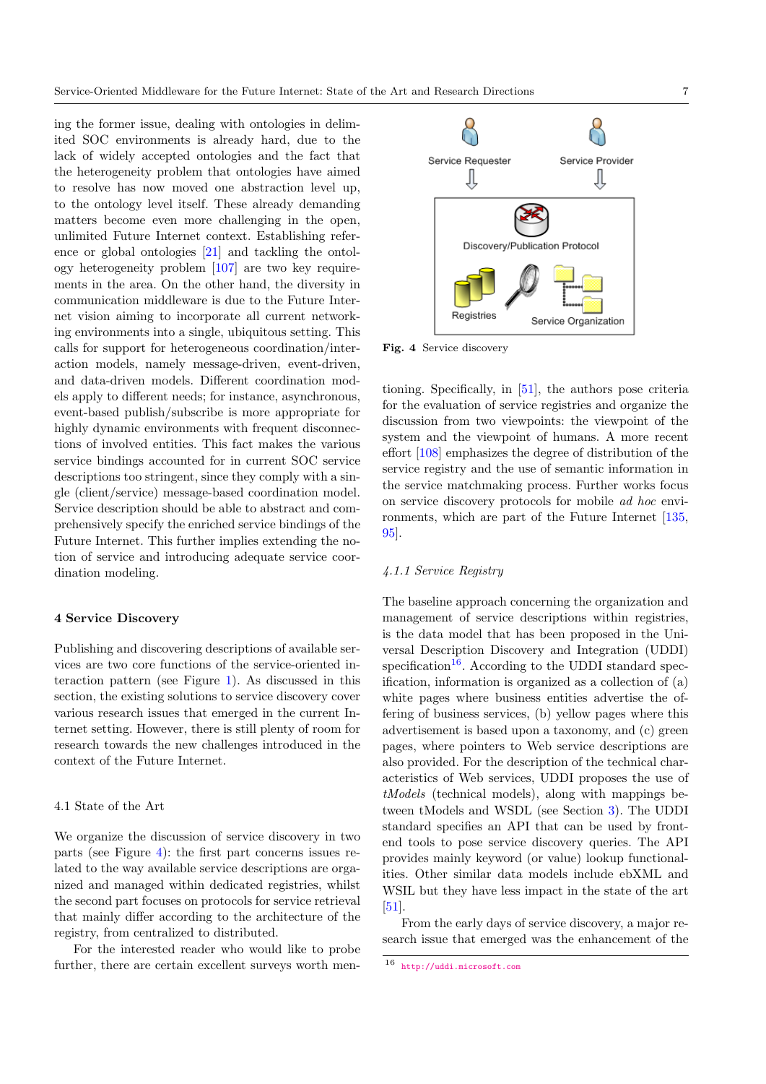ing the former issue, dealing with ontologies in delimited SOC environments is already hard, due to the lack of widely accepted ontologies and the fact that the heterogeneity problem that ontologies have aimed to resolve has now moved one abstraction level up, to the ontology level itself. These already demanding matters become even more challenging in the open, unlimited Future Internet context. Establishing reference or global ontologies [\[21\]](#page-20-3) and tackling the ontology heterogeneity problem [\[107\]](#page-22-7) are two key requirements in the area. On the other hand, the diversity in communication middleware is due to the Future Internet vision aiming to incorporate all current networking environments into a single, ubiquitous setting. This calls for support for heterogeneous coordination/interaction models, namely message-driven, event-driven, and data-driven models. Different coordination models apply to different needs; for instance, asynchronous, event-based publish/subscribe is more appropriate for highly dynamic environments with frequent disconnections of involved entities. This fact makes the various service bindings accounted for in current SOC service descriptions too stringent, since they comply with a single (client/service) message-based coordination model. Service description should be able to abstract and comprehensively specify the enriched service bindings of the Future Internet. This further implies extending the notion of service and introducing adequate service coordination modeling.

# <span id="page-6-0"></span>4 Service Discovery

Publishing and discovering descriptions of available services are two core functions of the service-oriented interaction pattern (see Figure [1\)](#page-0-0). As discussed in this section, the existing solutions to service discovery cover various research issues that emerged in the current Internet setting. However, there is still plenty of room for research towards the new challenges introduced in the context of the Future Internet.

## 4.1 State of the Art

We organize the discussion of service discovery in two parts (see Figure [4\)](#page-6-1): the first part concerns issues related to the way available service descriptions are organized and managed within dedicated registries, whilst the second part focuses on protocols for service retrieval that mainly differ according to the architecture of the registry, from centralized to distributed.

For the interested reader who would like to probe further, there are certain excellent surveys worth men-



<span id="page-6-1"></span>Fig. 4 Service discovery

tioning. Specifically, in [\[51\]](#page-21-6), the authors pose criteria for the evaluation of service registries and organize the discussion from two viewpoints: the viewpoint of the system and the viewpoint of humans. A more recent effort [\[108\]](#page-22-8) emphasizes the degree of distribution of the service registry and the use of semantic information in the service matchmaking process. Further works focus on service discovery protocols for mobile ad hoc environments, which are part of the Future Internet [\[135,](#page-23-4) [95\]](#page-22-9).

# 4.1.1 Service Registry

The baseline approach concerning the organization and management of service descriptions within registries, is the data model that has been proposed in the Universal Description Discovery and Integration (UDDI) specification<sup>[16](#page-6-2)</sup>. According to the UDDI standard specification, information is organized as a collection of (a) white pages where business entities advertise the offering of business services, (b) yellow pages where this advertisement is based upon a taxonomy, and (c) green pages, where pointers to Web service descriptions are also provided. For the description of the technical characteristics of Web services, UDDI proposes the use of tModels (technical models), along with mappings between tModels and WSDL (see Section [3\)](#page-3-0). The UDDI standard specifies an API that can be used by frontend tools to pose service discovery queries. The API provides mainly keyword (or value) lookup functionalities. Other similar data models include ebXML and WSIL but they have less impact in the state of the art [\[51\]](#page-21-6).

From the early days of service discovery, a major research issue that emerged was the enhancement of the

<span id="page-6-2"></span><sup>16</sup> <http://uddi.microsoft.com>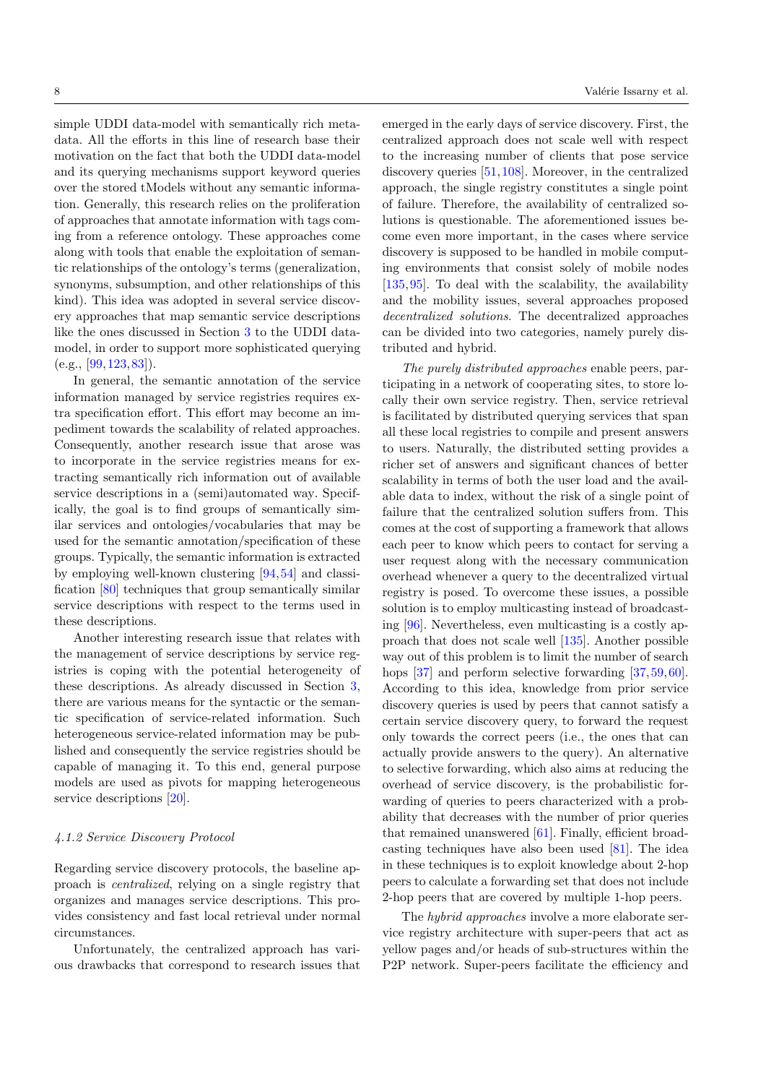simple UDDI data-model with semantically rich metadata. All the efforts in this line of research base their motivation on the fact that both the UDDI data-model and its querying mechanisms support keyword queries over the stored tModels without any semantic information. Generally, this research relies on the proliferation of approaches that annotate information with tags coming from a reference ontology. These approaches come along with tools that enable the exploitation of semantic relationships of the ontology's terms (generalization, synonyms, subsumption, and other relationships of this kind). This idea was adopted in several service discovery approaches that map semantic service descriptions like the ones discussed in Section [3](#page-3-0) to the UDDI datamodel, in order to support more sophisticated querying  $(e.g., [99, 123, 83]).$  $(e.g., [99, 123, 83]).$  $(e.g., [99, 123, 83]).$  $(e.g., [99, 123, 83]).$  $(e.g., [99, 123, 83]).$  $(e.g., [99, 123, 83]).$  $(e.g., [99, 123, 83]).$ 

In general, the semantic annotation of the service information managed by service registries requires extra specification effort. This effort may become an impediment towards the scalability of related approaches. Consequently, another research issue that arose was to incorporate in the service registries means for extracting semantically rich information out of available service descriptions in a (semi)automated way. Specifically, the goal is to find groups of semantically similar services and ontologies/vocabularies that may be used for the semantic annotation/specification of these groups. Typically, the semantic information is extracted by employing well-known clustering [\[94,](#page-22-12)[54\]](#page-21-7) and classification [\[80\]](#page-22-13) techniques that group semantically similar service descriptions with respect to the terms used in these descriptions.

Another interesting research issue that relates with the management of service descriptions by service registries is coping with the potential heterogeneity of these descriptions. As already discussed in Section [3,](#page-3-0) there are various means for the syntactic or the semantic specification of service-related information. Such heterogeneous service-related information may be published and consequently the service registries should be capable of managing it. To this end, general purpose models are used as pivots for mapping heterogeneous service descriptions [\[20\]](#page-20-4).

# 4.1.2 Service Discovery Protocol

Regarding service discovery protocols, the baseline approach is centralized, relying on a single registry that organizes and manages service descriptions. This provides consistency and fast local retrieval under normal circumstances.

Unfortunately, the centralized approach has various drawbacks that correspond to research issues that emerged in the early days of service discovery. First, the centralized approach does not scale well with respect to the increasing number of clients that pose service discovery queries [\[51,](#page-21-6)[108\]](#page-22-8). Moreover, in the centralized approach, the single registry constitutes a single point of failure. Therefore, the availability of centralized solutions is questionable. The aforementioned issues become even more important, in the cases where service discovery is supposed to be handled in mobile computing environments that consist solely of mobile nodes [\[135,](#page-23-4)[95\]](#page-22-9). To deal with the scalability, the availability and the mobility issues, several approaches proposed decentralized solutions. The decentralized approaches can be divided into two categories, namely purely distributed and hybrid.

The purely distributed approaches enable peers, participating in a network of cooperating sites, to store locally their own service registry. Then, service retrieval is facilitated by distributed querying services that span all these local registries to compile and present answers to users. Naturally, the distributed setting provides a richer set of answers and significant chances of better scalability in terms of both the user load and the available data to index, without the risk of a single point of failure that the centralized solution suffers from. This comes at the cost of supporting a framework that allows each peer to know which peers to contact for serving a user request along with the necessary communication overhead whenever a query to the decentralized virtual registry is posed. To overcome these issues, a possible solution is to employ multicasting instead of broadcasting [\[96\]](#page-22-14). Nevertheless, even multicasting is a costly approach that does not scale well [\[135\]](#page-23-4). Another possible way out of this problem is to limit the number of search hops [\[37\]](#page-20-5) and perform selective forwarding [\[37,](#page-20-5)[59,](#page-21-8)[60\]](#page-21-9). According to this idea, knowledge from prior service discovery queries is used by peers that cannot satisfy a certain service discovery query, to forward the request only towards the correct peers (i.e., the ones that can actually provide answers to the query). An alternative to selective forwarding, which also aims at reducing the overhead of service discovery, is the probabilistic forwarding of queries to peers characterized with a probability that decreases with the number of prior queries that remained unanswered [\[61\]](#page-21-10). Finally, efficient broadcasting techniques have also been used [\[81\]](#page-22-15). The idea in these techniques is to exploit knowledge about 2-hop peers to calculate a forwarding set that does not include 2-hop peers that are covered by multiple 1-hop peers.

The hybrid approaches involve a more elaborate service registry architecture with super-peers that act as yellow pages and/or heads of sub-structures within the P2P network. Super-peers facilitate the efficiency and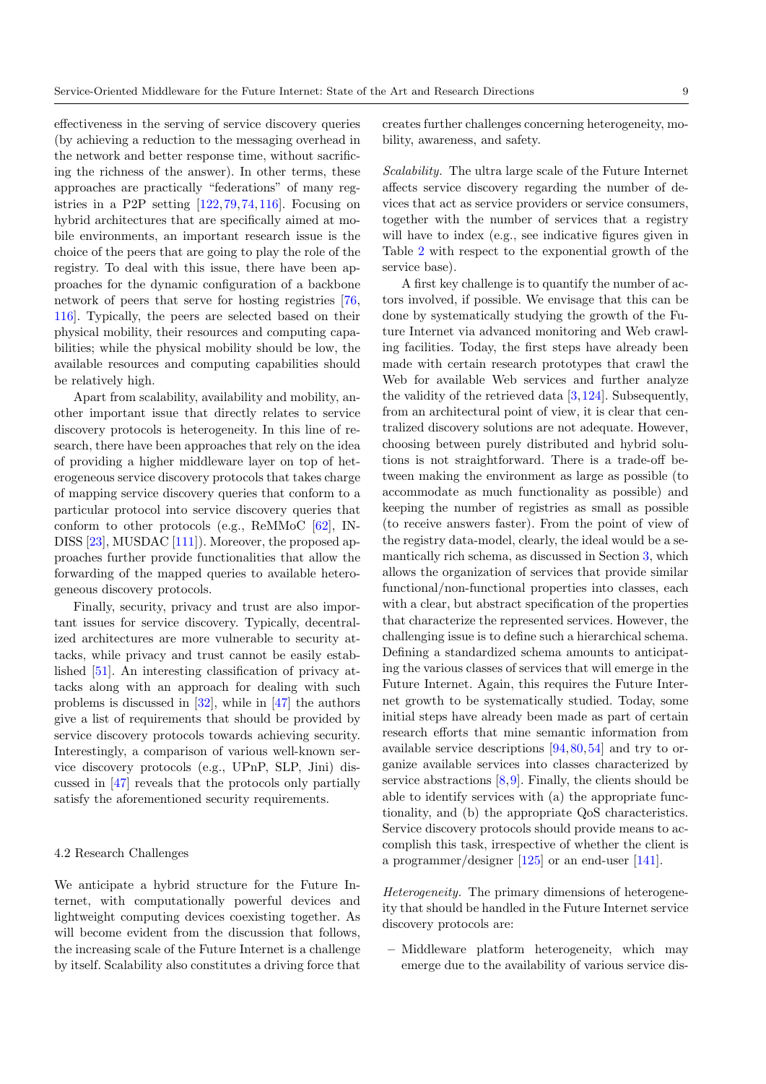effectiveness in the serving of service discovery queries (by achieving a reduction to the messaging overhead in the network and better response time, without sacrificing the richness of the answer). In other terms, these approaches are practically "federations" of many registries in a P2P setting  $[122, 79, 74, 116]$  $[122, 79, 74, 116]$  $[122, 79, 74, 116]$  $[122, 79, 74, 116]$  $[122, 79, 74, 116]$  $[122, 79, 74, 116]$  $[122, 79, 74, 116]$ . Focusing on hybrid architectures that are specifically aimed at mobile environments, an important research issue is the choice of the peers that are going to play the role of the registry. To deal with this issue, there have been approaches for the dynamic configuration of a backbone network of peers that serve for hosting registries [\[76,](#page-22-17) [116\]](#page-23-7). Typically, the peers are selected based on their physical mobility, their resources and computing capabilities; while the physical mobility should be low, the available resources and computing capabilities should be relatively high.

Apart from scalability, availability and mobility, another important issue that directly relates to service discovery protocols is heterogeneity. In this line of research, there have been approaches that rely on the idea of providing a higher middleware layer on top of heterogeneous service discovery protocols that takes charge of mapping service discovery queries that conform to a particular protocol into service discovery queries that conform to other protocols (e.g., ReMMoC [\[62\]](#page-21-12), IN-DISS [\[23\]](#page-20-6), MUSDAC [\[111\]](#page-22-18)). Moreover, the proposed approaches further provide functionalities that allow the forwarding of the mapped queries to available heterogeneous discovery protocols.

Finally, security, privacy and trust are also important issues for service discovery. Typically, decentralized architectures are more vulnerable to security attacks, while privacy and trust cannot be easily established [\[51\]](#page-21-6). An interesting classification of privacy attacks along with an approach for dealing with such problems is discussed in [\[32\]](#page-20-7), while in [\[47\]](#page-21-13) the authors give a list of requirements that should be provided by service discovery protocols towards achieving security. Interestingly, a comparison of various well-known service discovery protocols (e.g., UPnP, SLP, Jini) discussed in [\[47\]](#page-21-13) reveals that the protocols only partially satisfy the aforementioned security requirements.

# 4.2 Research Challenges

We anticipate a hybrid structure for the Future Internet, with computationally powerful devices and lightweight computing devices coexisting together. As will become evident from the discussion that follows, the increasing scale of the Future Internet is a challenge by itself. Scalability also constitutes a driving force that

creates further challenges concerning heterogeneity, mobility, awareness, and safety.

Scalability. The ultra large scale of the Future Internet affects service discovery regarding the number of devices that act as service providers or service consumers, together with the number of services that a registry will have to index (e.g., see indicative figures given in Table [2](#page-2-0) with respect to the exponential growth of the service base).

A first key challenge is to quantify the number of actors involved, if possible. We envisage that this can be done by systematically studying the growth of the Future Internet via advanced monitoring and Web crawling facilities. Today, the first steps have already been made with certain research prototypes that crawl the Web for available Web services and further analyze the validity of the retrieved data  $[3,124]$  $[3,124]$ . Subsequently, from an architectural point of view, it is clear that centralized discovery solutions are not adequate. However, choosing between purely distributed and hybrid solutions is not straightforward. There is a trade-off between making the environment as large as possible (to accommodate as much functionality as possible) and keeping the number of registries as small as possible (to receive answers faster). From the point of view of the registry data-model, clearly, the ideal would be a semantically rich schema, as discussed in Section [3,](#page-3-0) which allows the organization of services that provide similar functional/non-functional properties into classes, each with a clear, but abstract specification of the properties that characterize the represented services. However, the challenging issue is to define such a hierarchical schema. Defining a standardized schema amounts to anticipating the various classes of services that will emerge in the Future Internet. Again, this requires the Future Internet growth to be systematically studied. Today, some initial steps have already been made as part of certain research efforts that mine semantic information from available service descriptions [\[94,](#page-22-12)[80,](#page-22-13)[54\]](#page-21-7) and try to organize available services into classes characterized by service abstractions  $[8,9]$  $[8,9]$ . Finally, the clients should be able to identify services with (a) the appropriate functionality, and (b) the appropriate QoS characteristics. Service discovery protocols should provide means to accomplish this task, irrespective of whether the client is a programmer/designer [\[125\]](#page-23-9) or an end-user [\[141\]](#page-23-10).

Heterogeneity. The primary dimensions of heterogeneity that should be handled in the Future Internet service discovery protocols are:

– Middleware platform heterogeneity, which may emerge due to the availability of various service dis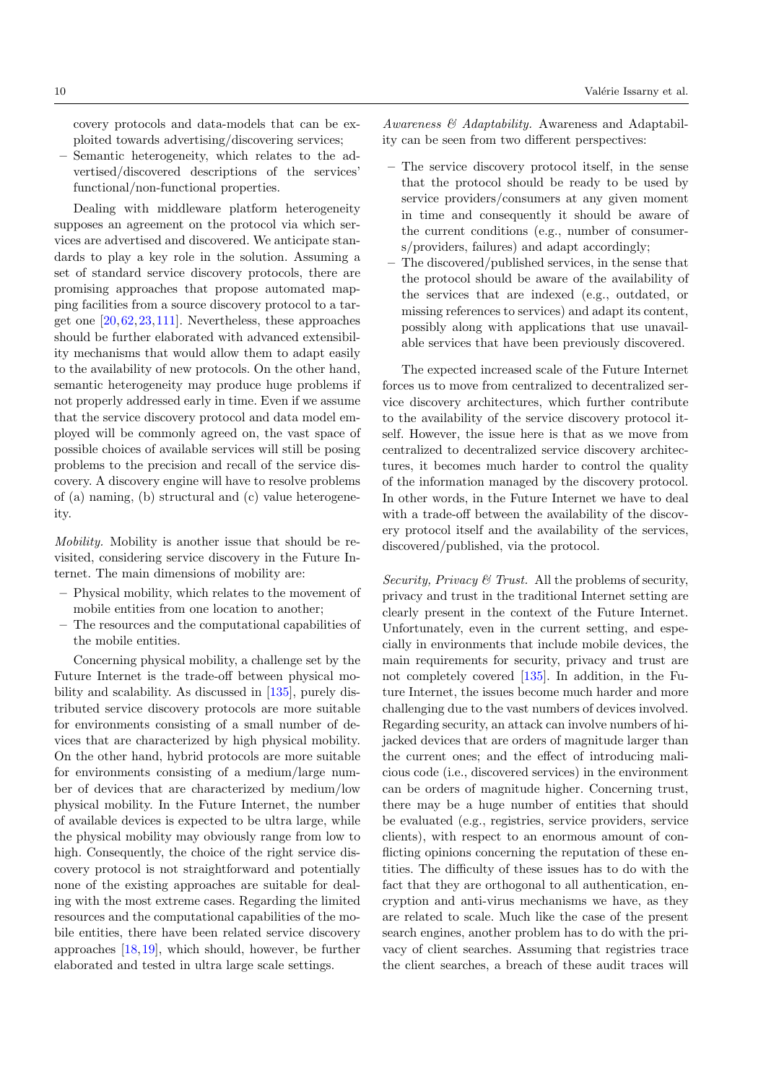covery protocols and data-models that can be exploited towards advertising/discovering services;

– Semantic heterogeneity, which relates to the advertised/discovered descriptions of the services' functional/non-functional properties.

Dealing with middleware platform heterogeneity supposes an agreement on the protocol via which services are advertised and discovered. We anticipate standards to play a key role in the solution. Assuming a set of standard service discovery protocols, there are promising approaches that propose automated mapping facilities from a source discovery protocol to a target one [\[20,](#page-20-4)[62,](#page-21-12)[23,](#page-20-6)[111\]](#page-22-18). Nevertheless, these approaches should be further elaborated with advanced extensibility mechanisms that would allow them to adapt easily to the availability of new protocols. On the other hand, semantic heterogeneity may produce huge problems if not properly addressed early in time. Even if we assume that the service discovery protocol and data model employed will be commonly agreed on, the vast space of possible choices of available services will still be posing problems to the precision and recall of the service discovery. A discovery engine will have to resolve problems of (a) naming, (b) structural and (c) value heterogeneity.

Mobility. Mobility is another issue that should be revisited, considering service discovery in the Future Internet. The main dimensions of mobility are:

- Physical mobility, which relates to the movement of mobile entities from one location to another;
- The resources and the computational capabilities of the mobile entities.

Concerning physical mobility, a challenge set by the Future Internet is the trade-off between physical mobility and scalability. As discussed in [\[135\]](#page-23-4), purely distributed service discovery protocols are more suitable for environments consisting of a small number of devices that are characterized by high physical mobility. On the other hand, hybrid protocols are more suitable for environments consisting of a medium/large number of devices that are characterized by medium/low physical mobility. In the Future Internet, the number of available devices is expected to be ultra large, while the physical mobility may obviously range from low to high. Consequently, the choice of the right service discovery protocol is not straightforward and potentially none of the existing approaches are suitable for dealing with the most extreme cases. Regarding the limited resources and the computational capabilities of the mobile entities, there have been related service discovery approaches [\[18,](#page-20-9)[19\]](#page-20-2), which should, however, be further elaborated and tested in ultra large scale settings.

Awareness & Adaptability. Awareness and Adaptability can be seen from two different perspectives:

- The service discovery protocol itself, in the sense that the protocol should be ready to be used by service providers/consumers at any given moment in time and consequently it should be aware of the current conditions (e.g., number of consumers/providers, failures) and adapt accordingly;
- The discovered/published services, in the sense that the protocol should be aware of the availability of the services that are indexed (e.g., outdated, or missing references to services) and adapt its content, possibly along with applications that use unavailable services that have been previously discovered.

The expected increased scale of the Future Internet forces us to move from centralized to decentralized service discovery architectures, which further contribute to the availability of the service discovery protocol itself. However, the issue here is that as we move from centralized to decentralized service discovery architectures, it becomes much harder to control the quality of the information managed by the discovery protocol. In other words, in the Future Internet we have to deal with a trade-off between the availability of the discovery protocol itself and the availability of the services, discovered/published, via the protocol.

Security, Privacy & Trust. All the problems of security, privacy and trust in the traditional Internet setting are clearly present in the context of the Future Internet. Unfortunately, even in the current setting, and especially in environments that include mobile devices, the main requirements for security, privacy and trust are not completely covered [\[135\]](#page-23-4). In addition, in the Future Internet, the issues become much harder and more challenging due to the vast numbers of devices involved. Regarding security, an attack can involve numbers of hijacked devices that are orders of magnitude larger than the current ones; and the effect of introducing malicious code (i.e., discovered services) in the environment can be orders of magnitude higher. Concerning trust, there may be a huge number of entities that should be evaluated (e.g., registries, service providers, service clients), with respect to an enormous amount of conflicting opinions concerning the reputation of these entities. The difficulty of these issues has to do with the fact that they are orthogonal to all authentication, encryption and anti-virus mechanisms we have, as they are related to scale. Much like the case of the present search engines, another problem has to do with the privacy of client searches. Assuming that registries trace the client searches, a breach of these audit traces will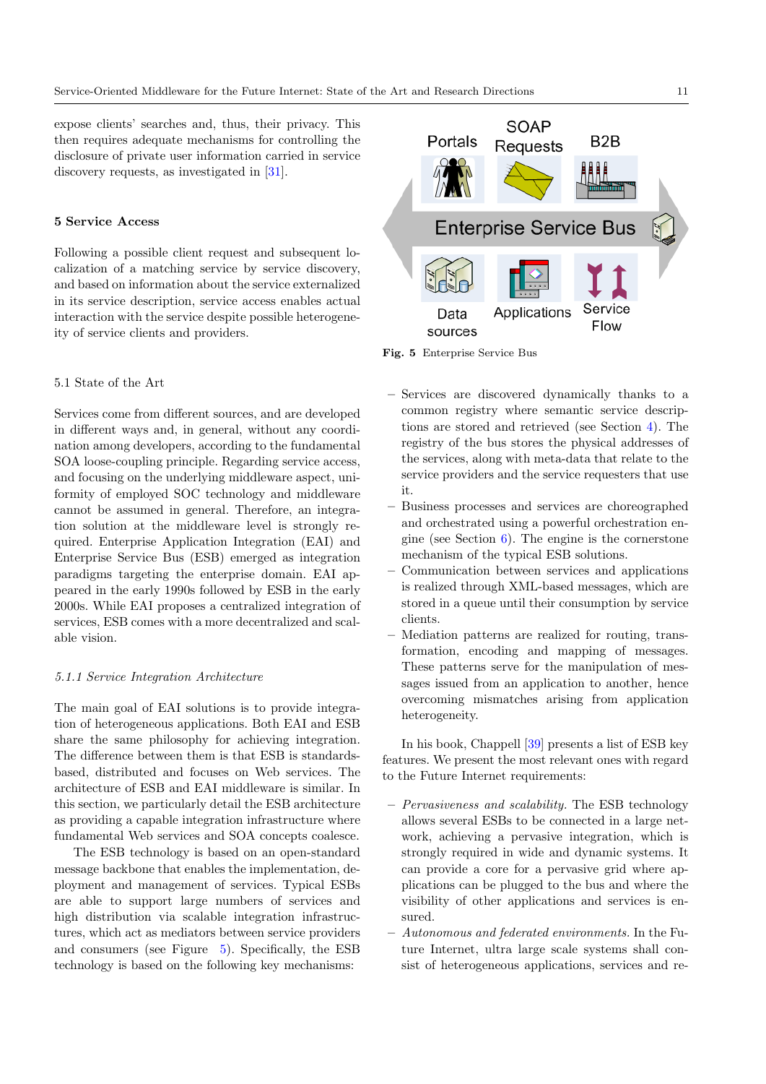expose clients' searches and, thus, their privacy. This then requires adequate mechanisms for controlling the disclosure of private user information carried in service discovery requests, as investigated in [\[31\]](#page-20-10).

# <span id="page-10-0"></span>5 Service Access

Following a possible client request and subsequent localization of a matching service by service discovery, and based on information about the service externalized in its service description, service access enables actual interaction with the service despite possible heterogeneity of service clients and providers.

# <span id="page-10-2"></span>5.1 State of the Art

Services come from different sources, and are developed in different ways and, in general, without any coordination among developers, according to the fundamental SOA loose-coupling principle. Regarding service access, and focusing on the underlying middleware aspect, uniformity of employed SOC technology and middleware cannot be assumed in general. Therefore, an integration solution at the middleware level is strongly required. Enterprise Application Integration (EAI) and Enterprise Service Bus (ESB) emerged as integration paradigms targeting the enterprise domain. EAI appeared in the early 1990s followed by ESB in the early 2000s. While EAI proposes a centralized integration of services, ESB comes with a more decentralized and scalable vision.

#### 5.1.1 Service Integration Architecture

The main goal of EAI solutions is to provide integration of heterogeneous applications. Both EAI and ESB share the same philosophy for achieving integration. The difference between them is that ESB is standardsbased, distributed and focuses on Web services. The architecture of ESB and EAI middleware is similar. In this section, we particularly detail the ESB architecture as providing a capable integration infrastructure where fundamental Web services and SOA concepts coalesce.

The ESB technology is based on an open-standard message backbone that enables the implementation, deployment and management of services. Typical ESBs are able to support large numbers of services and high distribution via scalable integration infrastructures, which act as mediators between service providers and consumers (see Figure [5\)](#page-10-1). Specifically, the ESB technology is based on the following key mechanisms:



<span id="page-10-1"></span>Fig. 5 Enterprise Service Bus

- Services are discovered dynamically thanks to a common registry where semantic service descriptions are stored and retrieved (see Section [4\)](#page-6-0). The registry of the bus stores the physical addresses of the services, along with meta-data that relate to the service providers and the service requesters that use it.
- Business processes and services are choreographed and orchestrated using a powerful orchestration engine (see Section  $6$ ). The engine is the cornerstone mechanism of the typical ESB solutions.
- Communication between services and applications is realized through XML-based messages, which are stored in a queue until their consumption by service clients.
- Mediation patterns are realized for routing, transformation, encoding and mapping of messages. These patterns serve for the manipulation of messages issued from an application to another, hence overcoming mismatches arising from application heterogeneity.

In his book, Chappell [\[39\]](#page-20-11) presents a list of ESB key features. We present the most relevant ones with regard to the Future Internet requirements:

- Pervasiveness and scalability. The ESB technology allows several ESBs to be connected in a large network, achieving a pervasive integration, which is strongly required in wide and dynamic systems. It can provide a core for a pervasive grid where applications can be plugged to the bus and where the visibility of other applications and services is ensured.
- Autonomous and federated environments. In the Future Internet, ultra large scale systems shall consist of heterogeneous applications, services and re-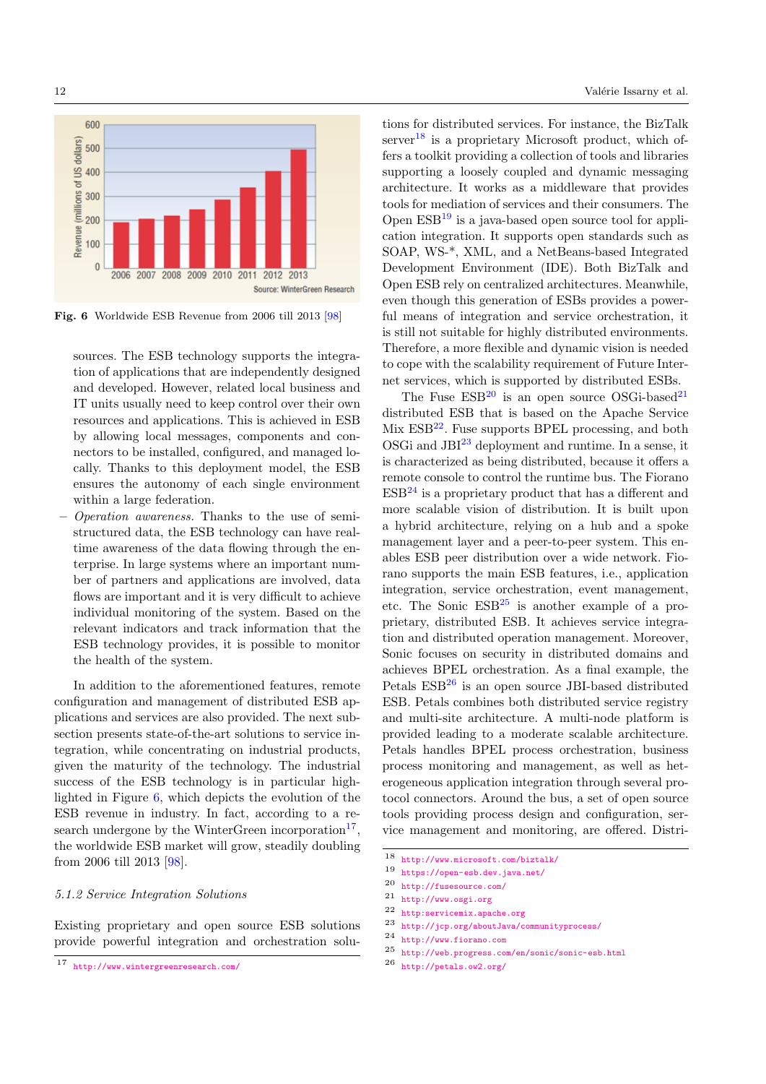

<span id="page-11-0"></span>Fig. 6 Worldwide ESB Revenue from 2006 till 2013 [\[98\]](#page-22-19)

sources. The ESB technology supports the integration of applications that are independently designed and developed. However, related local business and IT units usually need to keep control over their own resources and applications. This is achieved in ESB by allowing local messages, components and connectors to be installed, configured, and managed locally. Thanks to this deployment model, the ESB ensures the autonomy of each single environment within a large federation.

– Operation awareness. Thanks to the use of semistructured data, the ESB technology can have realtime awareness of the data flowing through the enterprise. In large systems where an important number of partners and applications are involved, data flows are important and it is very difficult to achieve individual monitoring of the system. Based on the relevant indicators and track information that the ESB technology provides, it is possible to monitor the health of the system.

In addition to the aforementioned features, remote configuration and management of distributed ESB applications and services are also provided. The next subsection presents state-of-the-art solutions to service integration, while concentrating on industrial products, given the maturity of the technology. The industrial success of the ESB technology is in particular highlighted in Figure [6,](#page-11-0) which depicts the evolution of the ESB revenue in industry. In fact, according to a re-search undergone by the WinterGreen incorporation<sup>[17](#page-11-1)</sup>, the worldwide ESB market will grow, steadily doubling from 2006 till 2013 [\[98\]](#page-22-19).

# 5.1.2 Service Integration Solutions

Existing proprietary and open source ESB solutions provide powerful integration and orchestration solu-

tions for distributed services. For instance, the BizTalk  $server<sup>18</sup>$  $server<sup>18</sup>$  $server<sup>18</sup>$  is a proprietary Microsoft product, which offers a toolkit providing a collection of tools and libraries supporting a loosely coupled and dynamic messaging architecture. It works as a middleware that provides tools for mediation of services and their consumers. The Open  $ESB<sup>19</sup>$  $ESB<sup>19</sup>$  $ESB<sup>19</sup>$  is a java-based open source tool for application integration. It supports open standards such as SOAP, WS-\*, XML, and a NetBeans-based Integrated Development Environment (IDE). Both BizTalk and Open ESB rely on centralized architectures. Meanwhile, even though this generation of ESBs provides a powerful means of integration and service orchestration, it is still not suitable for highly distributed environments. Therefore, a more flexible and dynamic vision is needed to cope with the scalability requirement of Future Internet services, which is supported by distributed ESBs.

The Fuse  $ESB<sup>20</sup>$  $ESB<sup>20</sup>$  $ESB<sup>20</sup>$  is an open source OSGi-based<sup>[21](#page-11-5)</sup> distributed ESB that is based on the Apache Service Mix  $ESB<sup>22</sup>$  $ESB<sup>22</sup>$  $ESB<sup>22</sup>$ . Fuse supports BPEL processing, and both OSGi and  $JBI<sup>23</sup>$  $JBI<sup>23</sup>$  $JBI<sup>23</sup>$  deployment and runtime. In a sense, it is characterized as being distributed, because it offers a remote console to control the runtime bus. The Fiorano  $ESB<sup>24</sup>$  $ESB<sup>24</sup>$  $ESB<sup>24</sup>$  is a proprietary product that has a different and more scalable vision of distribution. It is built upon a hybrid architecture, relying on a hub and a spoke management layer and a peer-to-peer system. This enables ESB peer distribution over a wide network. Fiorano supports the main ESB features, i.e., application integration, service orchestration, event management, etc. The Sonic  $ESB<sup>25</sup>$  $ESB<sup>25</sup>$  $ESB<sup>25</sup>$  is another example of a proprietary, distributed ESB. It achieves service integration and distributed operation management. Moreover, Sonic focuses on security in distributed domains and achieves BPEL orchestration. As a final example, the Petals  $ESB<sup>26</sup>$  $ESB<sup>26</sup>$  $ESB<sup>26</sup>$  is an open source JBI-based distributed ESB. Petals combines both distributed service registry and multi-site architecture. A multi-node platform is provided leading to a moderate scalable architecture. Petals handles BPEL process orchestration, business process monitoring and management, as well as heterogeneous application integration through several protocol connectors. Around the bus, a set of open source tools providing process design and configuration, service management and monitoring, are offered. Distri-

- <span id="page-11-2"></span><sup>18</sup> <http://www.microsoft.com/biztalk/>
- <span id="page-11-3"></span><https://open-esb.dev.java.net/>
- <span id="page-11-4"></span> $\frac{20}{21}$  <http://fusesource.com/>
- <span id="page-11-5"></span> $\frac{21}{22}$  <http://www.osgi.org>
- <span id="page-11-6"></span>
- <span id="page-11-7"></span> $\frac{22}{23}$  <http:servicemix.apache.org> <sup>23</sup> <http://jcp.org/aboutJava/communityprocess/>
- <span id="page-11-8"></span><sup>24</sup> <http://www.fiorano.com>
- <span id="page-11-9"></span><sup>25</sup> <http://web.progress.com/en/sonic/sonic-esb.html>
- <span id="page-11-10"></span><sup>26</sup> <http://petals.ow2.org/>

<span id="page-11-1"></span><sup>17</sup> <http://www.wintergreenresearch.com/>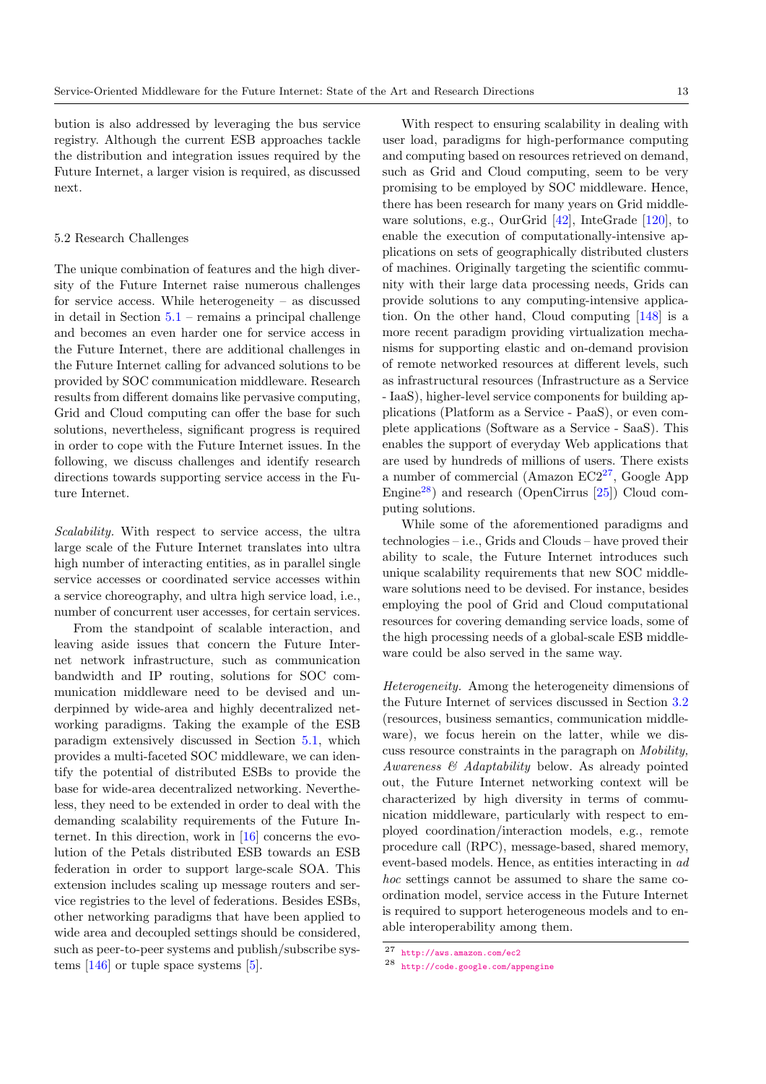bution is also addressed by leveraging the bus service registry. Although the current ESB approaches tackle the distribution and integration issues required by the Future Internet, a larger vision is required, as discussed next.

# 5.2 Research Challenges

The unique combination of features and the high diversity of the Future Internet raise numerous challenges for service access. While heterogeneity – as discussed in detail in Section [5.1](#page-10-2) – remains a principal challenge and becomes an even harder one for service access in the Future Internet, there are additional challenges in the Future Internet calling for advanced solutions to be provided by SOC communication middleware. Research results from different domains like pervasive computing, Grid and Cloud computing can offer the base for such solutions, nevertheless, significant progress is required in order to cope with the Future Internet issues. In the following, we discuss challenges and identify research directions towards supporting service access in the Future Internet.

Scalability. With respect to service access, the ultra large scale of the Future Internet translates into ultra high number of interacting entities, as in parallel single service accesses or coordinated service accesses within a service choreography, and ultra high service load, i.e., number of concurrent user accesses, for certain services.

From the standpoint of scalable interaction, and leaving aside issues that concern the Future Internet network infrastructure, such as communication bandwidth and IP routing, solutions for SOC communication middleware need to be devised and underpinned by wide-area and highly decentralized networking paradigms. Taking the example of the ESB paradigm extensively discussed in Section [5.1,](#page-10-2) which provides a multi-faceted SOC middleware, we can identify the potential of distributed ESBs to provide the base for wide-area decentralized networking. Nevertheless, they need to be extended in order to deal with the demanding scalability requirements of the Future Internet. In this direction, work in [\[16\]](#page-20-12) concerns the evolution of the Petals distributed ESB towards an ESB federation in order to support large-scale SOA. This extension includes scaling up message routers and service registries to the level of federations. Besides ESBs, other networking paradigms that have been applied to wide area and decoupled settings should be considered, such as peer-to-peer systems and publish/subscribe systems [\[146\]](#page-24-1) or tuple space systems [\[5\]](#page-19-4).

With respect to ensuring scalability in dealing with user load, paradigms for high-performance computing and computing based on resources retrieved on demand, such as Grid and Cloud computing, seem to be very promising to be employed by SOC middleware. Hence, there has been research for many years on Grid middleware solutions, e.g., OurGrid [\[42\]](#page-21-14), InteGrade [\[120\]](#page-23-11), to enable the execution of computationally-intensive applications on sets of geographically distributed clusters of machines. Originally targeting the scientific community with their large data processing needs, Grids can provide solutions to any computing-intensive application. On the other hand, Cloud computing [\[148\]](#page-24-2) is a more recent paradigm providing virtualization mechanisms for supporting elastic and on-demand provision of remote networked resources at different levels, such as infrastructural resources (Infrastructure as a Service - IaaS), higher-level service components for building applications (Platform as a Service - PaaS), or even complete applications (Software as a Service - SaaS). This enables the support of everyday Web applications that are used by hundreds of millions of users. There exists a number of commercial (Amazon  $EC2^{27}$  $EC2^{27}$  $EC2^{27}$ , Google App Engine<sup>[28](#page-12-1)</sup>) and research (OpenCirrus  $[25]$ ) Cloud computing solutions.

While some of the aforementioned paradigms and technologies – i.e., Grids and Clouds – have proved their ability to scale, the Future Internet introduces such unique scalability requirements that new SOC middleware solutions need to be devised. For instance, besides employing the pool of Grid and Cloud computational resources for covering demanding service loads, some of the high processing needs of a global-scale ESB middleware could be also served in the same way.

Heterogeneity. Among the heterogeneity dimensions of the Future Internet of services discussed in Section [3.2](#page-5-2) (resources, business semantics, communication middleware), we focus herein on the latter, while we discuss resource constraints in the paragraph on Mobility, Awareness & Adaptability below. As already pointed out, the Future Internet networking context will be characterized by high diversity in terms of communication middleware, particularly with respect to employed coordination/interaction models, e.g., remote procedure call (RPC), message-based, shared memory, event-based models. Hence, as entities interacting in ad hoc settings cannot be assumed to share the same coordination model, service access in the Future Internet is required to support heterogeneous models and to enable interoperability among them.

<span id="page-12-0"></span><sup>27</sup> <http://aws.amazon.com/ec2>

<span id="page-12-1"></span><sup>28</sup> <http://code.google.com/appengine>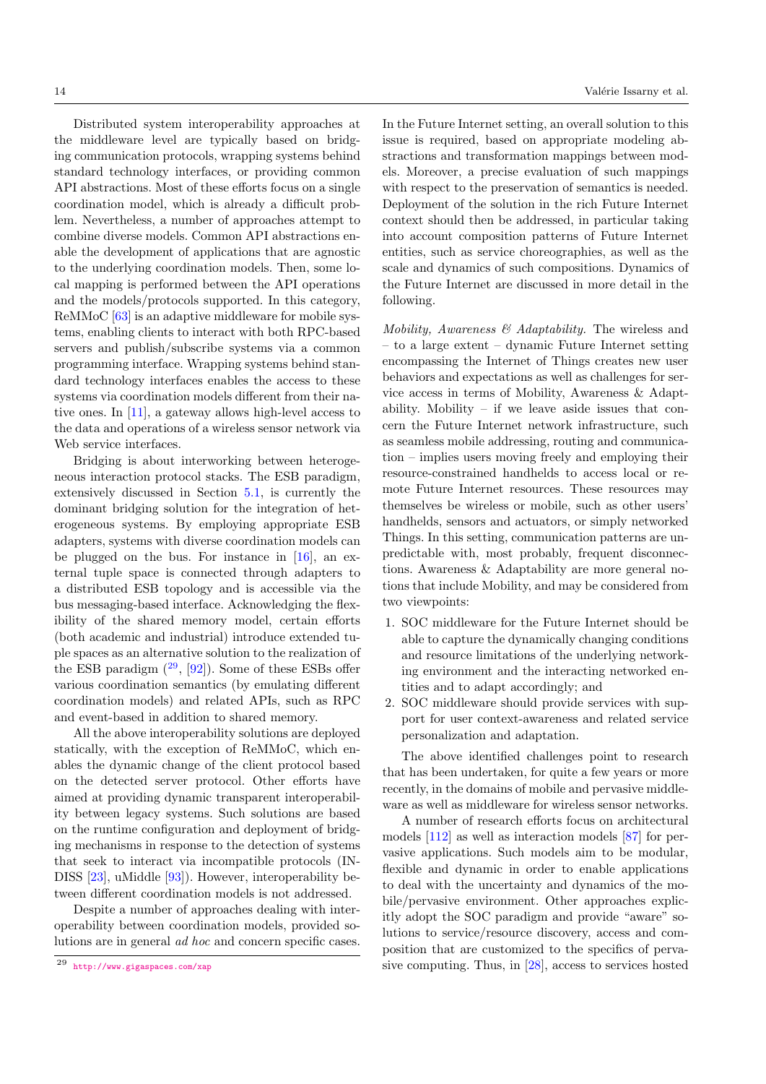Distributed system interoperability approaches at the middleware level are typically based on bridging communication protocols, wrapping systems behind standard technology interfaces, or providing common API abstractions. Most of these efforts focus on a single coordination model, which is already a difficult problem. Nevertheless, a number of approaches attempt to combine diverse models. Common API abstractions enable the development of applications that are agnostic to the underlying coordination models. Then, some local mapping is performed between the API operations and the models/protocols supported. In this category, ReMMoC  $[63]$  is an adaptive middleware for mobile systems, enabling clients to interact with both RPC-based servers and publish/subscribe systems via a common programming interface. Wrapping systems behind standard technology interfaces enables the access to these systems via coordination models different from their native ones. In [\[11\]](#page-20-14), a gateway allows high-level access to the data and operations of a wireless sensor network via Web service interfaces.

Bridging is about interworking between heterogeneous interaction protocol stacks. The ESB paradigm, extensively discussed in Section [5.1,](#page-10-2) is currently the dominant bridging solution for the integration of heterogeneous systems. By employing appropriate ESB adapters, systems with diverse coordination models can be plugged on the bus. For instance in [\[16\]](#page-20-12), an external tuple space is connected through adapters to a distributed ESB topology and is accessible via the bus messaging-based interface. Acknowledging the flexibility of the shared memory model, certain efforts (both academic and industrial) introduce extended tuple spaces as an alternative solution to the realization of the ESB paradigm  $(^{29}, [92])$  $(^{29}, [92])$  $(^{29}, [92])$  $(^{29}, [92])$  $(^{29}, [92])$ . Some of these ESBs offer various coordination semantics (by emulating different coordination models) and related APIs, such as RPC and event-based in addition to shared memory.

All the above interoperability solutions are deployed statically, with the exception of ReMMoC, which enables the dynamic change of the client protocol based on the detected server protocol. Other efforts have aimed at providing dynamic transparent interoperability between legacy systems. Such solutions are based on the runtime configuration and deployment of bridging mechanisms in response to the detection of systems that seek to interact via incompatible protocols (IN-DISS [\[23\]](#page-20-6), uMiddle [\[93\]](#page-22-21)). However, interoperability between different coordination models is not addressed.

Despite a number of approaches dealing with interoperability between coordination models, provided solutions are in general ad hoc and concern specific cases. In the Future Internet setting, an overall solution to this issue is required, based on appropriate modeling abstractions and transformation mappings between models. Moreover, a precise evaluation of such mappings with respect to the preservation of semantics is needed. Deployment of the solution in the rich Future Internet context should then be addressed, in particular taking into account composition patterns of Future Internet entities, such as service choreographies, as well as the scale and dynamics of such compositions. Dynamics of the Future Internet are discussed in more detail in the following.

Mobility, Awareness  $\mathcal{B}$  Adaptability. The wireless and – to a large extent – dynamic Future Internet setting encompassing the Internet of Things creates new user behaviors and expectations as well as challenges for service access in terms of Mobility, Awareness & Adaptability. Mobility – if we leave aside issues that concern the Future Internet network infrastructure, such as seamless mobile addressing, routing and communication – implies users moving freely and employing their resource-constrained handhelds to access local or remote Future Internet resources. These resources may themselves be wireless or mobile, such as other users' handhelds, sensors and actuators, or simply networked Things. In this setting, communication patterns are unpredictable with, most probably, frequent disconnections. Awareness & Adaptability are more general notions that include Mobility, and may be considered from two viewpoints:

- 1. SOC middleware for the Future Internet should be able to capture the dynamically changing conditions and resource limitations of the underlying networking environment and the interacting networked entities and to adapt accordingly; and
- 2. SOC middleware should provide services with support for user context-awareness and related service personalization and adaptation.

The above identified challenges point to research that has been undertaken, for quite a few years or more recently, in the domains of mobile and pervasive middleware as well as middleware for wireless sensor networks.

A number of research efforts focus on architectural models [\[112\]](#page-23-12) as well as interaction models [\[87\]](#page-22-22) for pervasive applications. Such models aim to be modular, flexible and dynamic in order to enable applications to deal with the uncertainty and dynamics of the mobile/pervasive environment. Other approaches explicitly adopt the SOC paradigm and provide "aware" solutions to service/resource discovery, access and composition that are customized to the specifics of pervasive computing. Thus, in [\[28\]](#page-20-15), access to services hosted

<span id="page-13-0"></span><sup>29</sup> <http://www.gigaspaces.com/xap>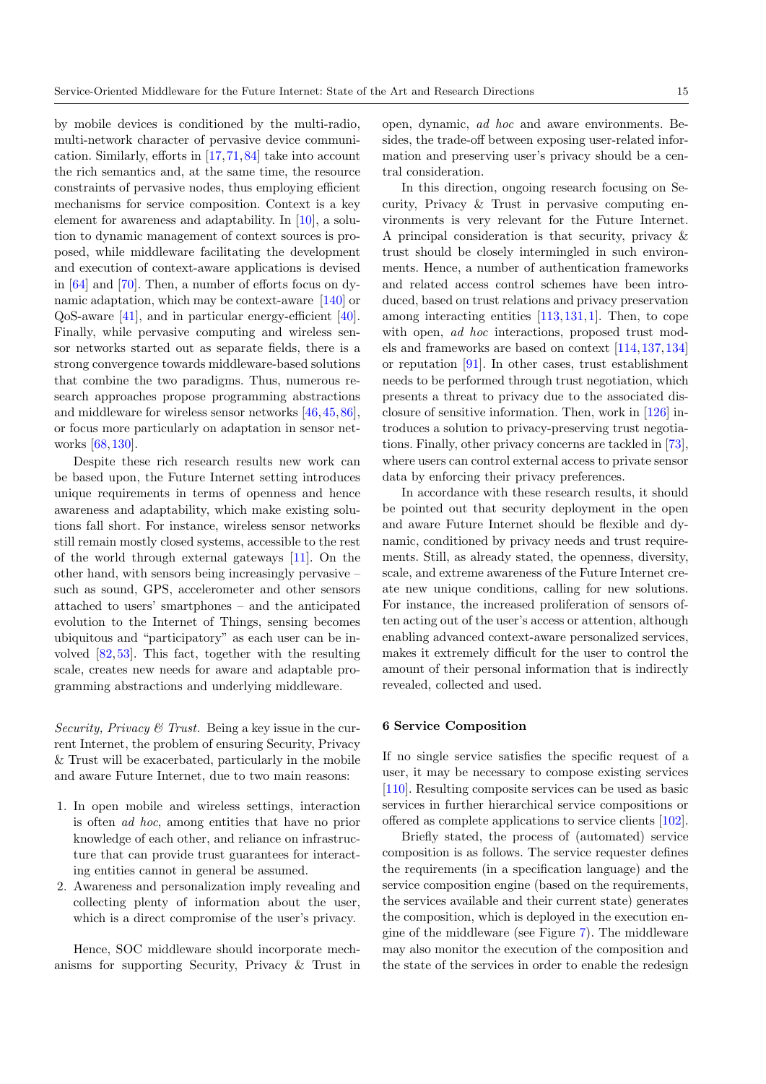by mobile devices is conditioned by the multi-radio, multi-network character of pervasive device communication. Similarly, efforts in [\[17,](#page-20-16)[71,](#page-21-16)[84\]](#page-22-23) take into account the rich semantics and, at the same time, the resource constraints of pervasive nodes, thus employing efficient mechanisms for service composition. Context is a key element for awareness and adaptability. In [\[10\]](#page-20-17), a solution to dynamic management of context sources is proposed, while middleware facilitating the development and execution of context-aware applications is devised in  $[64]$  and  $[70]$ . Then, a number of efforts focus on dynamic adaptation, which may be context-aware [\[140\]](#page-23-13) or QoS-aware [\[41\]](#page-20-18), and in particular energy-efficient [\[40\]](#page-20-19). Finally, while pervasive computing and wireless sensor networks started out as separate fields, there is a strong convergence towards middleware-based solutions that combine the two paradigms. Thus, numerous research approaches propose programming abstractions and middleware for wireless sensor networks [\[46,](#page-21-19)[45,](#page-21-20)[86\]](#page-22-24), or focus more particularly on adaptation in sensor networks [\[68,](#page-21-21)[130\]](#page-23-14).

Despite these rich research results new work can be based upon, the Future Internet setting introduces unique requirements in terms of openness and hence awareness and adaptability, which make existing solutions fall short. For instance, wireless sensor networks still remain mostly closed systems, accessible to the rest of the world through external gateways [\[11\]](#page-20-14). On the other hand, with sensors being increasingly pervasive – such as sound, GPS, accelerometer and other sensors attached to users' smartphones – and the anticipated evolution to the Internet of Things, sensing becomes ubiquitous and "participatory" as each user can be involved [\[82,](#page-22-25)[53\]](#page-21-22). This fact, together with the resulting scale, creates new needs for aware and adaptable programming abstractions and underlying middleware.

Security, Privacy  $\mathcal{B}$  Trust. Being a key issue in the current Internet, the problem of ensuring Security, Privacy & Trust will be exacerbated, particularly in the mobile and aware Future Internet, due to two main reasons:

- 1. In open mobile and wireless settings, interaction is often ad hoc, among entities that have no prior knowledge of each other, and reliance on infrastructure that can provide trust guarantees for interacting entities cannot in general be assumed.
- 2. Awareness and personalization imply revealing and collecting plenty of information about the user, which is a direct compromise of the user's privacy.

Hence, SOC middleware should incorporate mechanisms for supporting Security, Privacy & Trust in open, dynamic, ad hoc and aware environments. Besides, the trade-off between exposing user-related information and preserving user's privacy should be a central consideration.

In this direction, ongoing research focusing on Security, Privacy & Trust in pervasive computing environments is very relevant for the Future Internet. A principal consideration is that security, privacy & trust should be closely intermingled in such environments. Hence, a number of authentication frameworks and related access control schemes have been introduced, based on trust relations and privacy preservation among interacting entities [\[113,](#page-23-15)[131,](#page-23-16)[1\]](#page-19-5). Then, to cope with open, *ad hoc* interactions, proposed trust models and frameworks are based on context [\[114,](#page-23-17)[137,](#page-23-18)[134\]](#page-23-19) or reputation [\[91\]](#page-22-26). In other cases, trust establishment needs to be performed through trust negotiation, which presents a threat to privacy due to the associated disclosure of sensitive information. Then, work in [\[126\]](#page-23-20) introduces a solution to privacy-preserving trust negotiations. Finally, other privacy concerns are tackled in [\[73\]](#page-21-23), where users can control external access to private sensor data by enforcing their privacy preferences.

In accordance with these research results, it should be pointed out that security deployment in the open and aware Future Internet should be flexible and dynamic, conditioned by privacy needs and trust requirements. Still, as already stated, the openness, diversity, scale, and extreme awareness of the Future Internet create new unique conditions, calling for new solutions. For instance, the increased proliferation of sensors often acting out of the user's access or attention, although enabling advanced context-aware personalized services, makes it extremely difficult for the user to control the amount of their personal information that is indirectly revealed, collected and used.

# <span id="page-14-0"></span>6 Service Composition

If no single service satisfies the specific request of a user, it may be necessary to compose existing services [\[110\]](#page-22-27). Resulting composite services can be used as basic services in further hierarchical service compositions or offered as complete applications to service clients [\[102\]](#page-22-0).

Briefly stated, the process of (automated) service composition is as follows. The service requester defines the requirements (in a specification language) and the service composition engine (based on the requirements, the services available and their current state) generates the composition, which is deployed in the execution engine of the middleware (see Figure [7\)](#page-15-0). The middleware may also monitor the execution of the composition and the state of the services in order to enable the redesign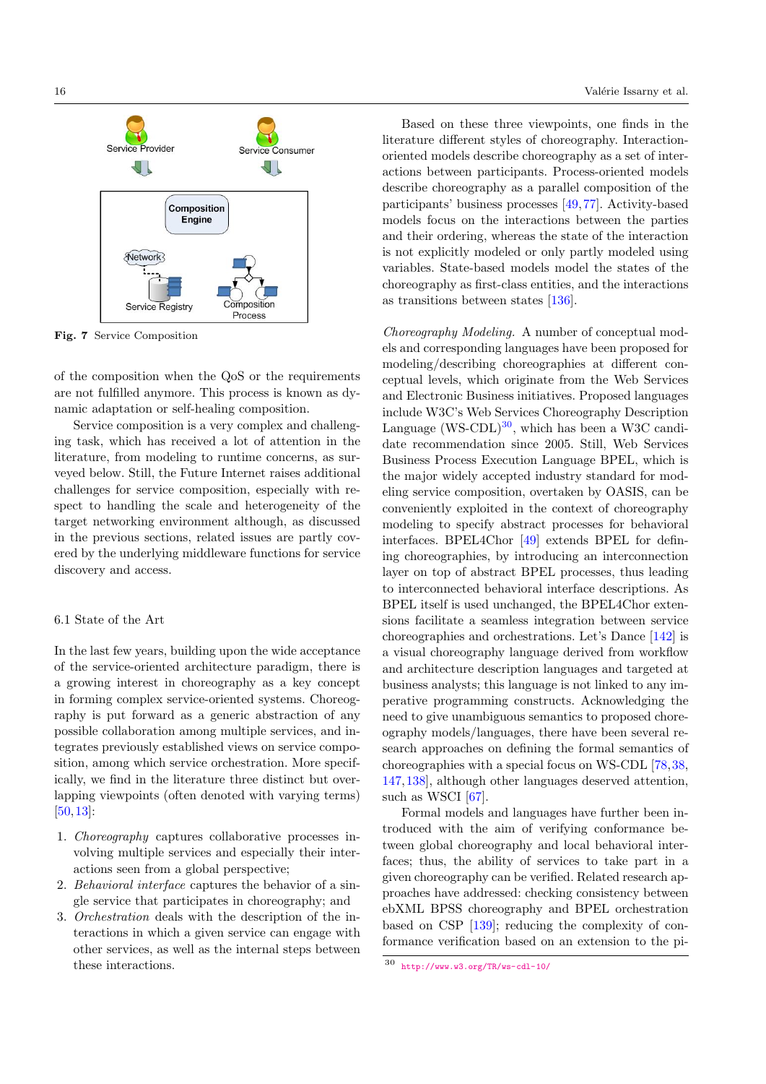

<span id="page-15-0"></span>Fig. 7 Service Composition

of the composition when the QoS or the requirements are not fulfilled anymore. This process is known as dynamic adaptation or self-healing composition.

Service composition is a very complex and challenging task, which has received a lot of attention in the literature, from modeling to runtime concerns, as surveyed below. Still, the Future Internet raises additional challenges for service composition, especially with respect to handling the scale and heterogeneity of the target networking environment although, as discussed in the previous sections, related issues are partly covered by the underlying middleware functions for service discovery and access.

### 6.1 State of the Art

In the last few years, building upon the wide acceptance of the service-oriented architecture paradigm, there is a growing interest in choreography as a key concept in forming complex service-oriented systems. Choreography is put forward as a generic abstraction of any possible collaboration among multiple services, and integrates previously established views on service composition, among which service orchestration. More specifically, we find in the literature three distinct but overlapping viewpoints (often denoted with varying terms) [\[50,](#page-21-24)[13\]](#page-20-20):

- 1. Choreography captures collaborative processes involving multiple services and especially their interactions seen from a global perspective;
- 2. Behavioral interface captures the behavior of a single service that participates in choreography; and
- 3. Orchestration deals with the description of the interactions in which a given service can engage with other services, as well as the internal steps between these interactions.

Based on these three viewpoints, one finds in the literature different styles of choreography. Interactionoriented models describe choreography as a set of interactions between participants. Process-oriented models describe choreography as a parallel composition of the participants' business processes [\[49,](#page-21-25)[77\]](#page-22-28). Activity-based models focus on the interactions between the parties and their ordering, whereas the state of the interaction is not explicitly modeled or only partly modeled using variables. State-based models model the states of the choreography as first-class entities, and the interactions as transitions between states [\[136\]](#page-23-21).

Choreography Modeling. A number of conceptual models and corresponding languages have been proposed for modeling/describing choreographies at different conceptual levels, which originate from the Web Services and Electronic Business initiatives. Proposed languages include W3C's Web Services Choreography Description Language (WS-CDL) $30$ , which has been a W3C candidate recommendation since 2005. Still, Web Services Business Process Execution Language BPEL, which is the major widely accepted industry standard for modeling service composition, overtaken by OASIS, can be conveniently exploited in the context of choreography modeling to specify abstract processes for behavioral interfaces. BPEL4Chor [\[49\]](#page-21-25) extends BPEL for defining choreographies, by introducing an interconnection layer on top of abstract BPEL processes, thus leading to interconnected behavioral interface descriptions. As BPEL itself is used unchanged, the BPEL4Chor extensions facilitate a seamless integration between service choreographies and orchestrations. Let's Dance [\[142\]](#page-23-22) is a visual choreography language derived from workflow and architecture description languages and targeted at business analysts; this language is not linked to any imperative programming constructs. Acknowledging the need to give unambiguous semantics to proposed choreography models/languages, there have been several research approaches on defining the formal semantics of choreographies with a special focus on WS-CDL [\[78,](#page-22-29)[38,](#page-20-21) [147,](#page-24-3)[138\]](#page-23-23), although other languages deserved attention, such as WSCI [\[67\]](#page-21-26).

Formal models and languages have further been introduced with the aim of verifying conformance between global choreography and local behavioral interfaces; thus, the ability of services to take part in a given choreography can be verified. Related research approaches have addressed: checking consistency between ebXML BPSS choreography and BPEL orchestration based on CSP [\[139\]](#page-23-24); reducing the complexity of conformance verification based on an extension to the pi-

<span id="page-15-1"></span><sup>30</sup> <http://www.w3.org/TR/ws-cdl-10/>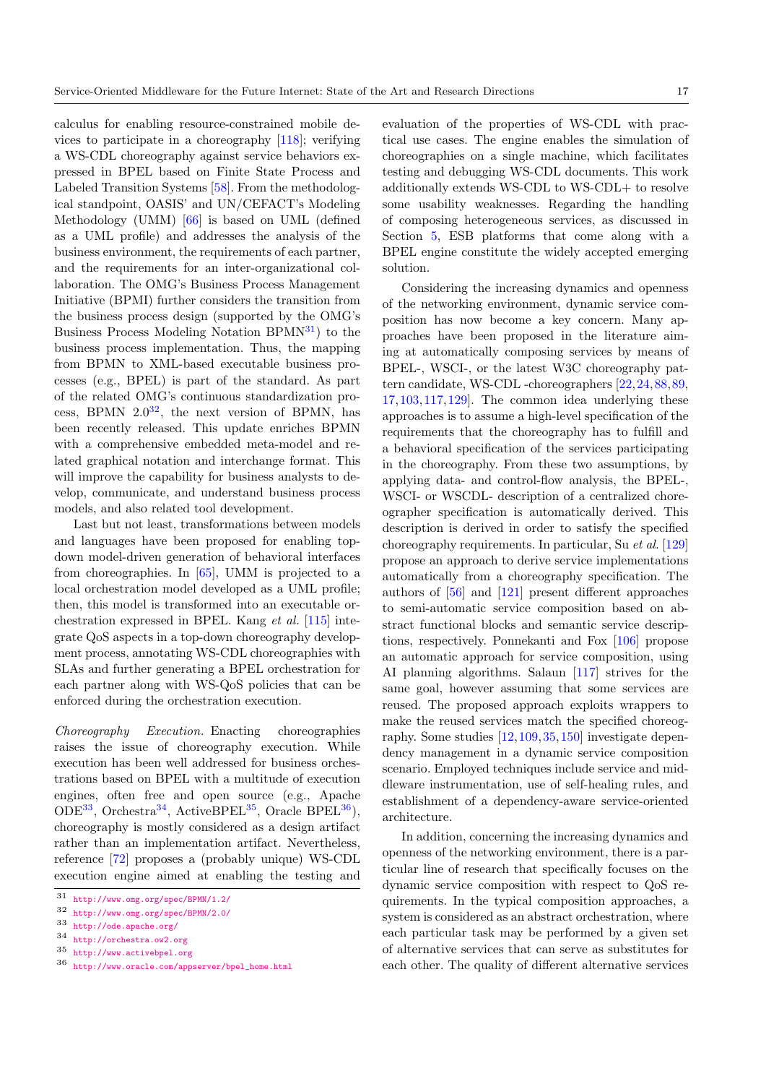calculus for enabling resource-constrained mobile devices to participate in a choreography [\[118\]](#page-23-25); verifying a WS-CDL choreography against service behaviors expressed in BPEL based on Finite State Process and Labeled Transition Systems [\[58\]](#page-21-27). From the methodological standpoint, OASIS' and UN/CEFACT's Modeling Methodology (UMM) [\[66\]](#page-21-28) is based on UML (defined as a UML profile) and addresses the analysis of the business environment, the requirements of each partner, and the requirements for an inter-organizational collaboration. The OMG's Business Process Management Initiative (BPMI) further considers the transition from the business process design (supported by the OMG's Business Process Modeling Notation BPMN[31](#page-16-0)) to the business process implementation. Thus, the mapping from BPMN to XML-based executable business processes (e.g., BPEL) is part of the standard. As part of the related OMG's continuous standardization process, BPMN  $2.0^{32}$  $2.0^{32}$  $2.0^{32}$ , the next version of BPMN, has been recently released. This update enriches BPMN with a comprehensive embedded meta-model and related graphical notation and interchange format. This will improve the capability for business analysts to develop, communicate, and understand business process models, and also related tool development.

Last but not least, transformations between models and languages have been proposed for enabling topdown model-driven generation of behavioral interfaces from choreographies. In [\[65\]](#page-21-29), UMM is projected to a local orchestration model developed as a UML profile; then, this model is transformed into an executable orchestration expressed in BPEL. Kang et al. [\[115\]](#page-23-26) integrate QoS aspects in a top-down choreography development process, annotating WS-CDL choreographies with SLAs and further generating a BPEL orchestration for each partner along with WS-QoS policies that can be enforced during the orchestration execution.

Choreography Execution. Enacting choreographies raises the issue of choreography execution. While execution has been well addressed for business orchestrations based on BPEL with a multitude of execution engines, often free and open source (e.g., Apache ODE<sup>[33](#page-16-2)</sup>, Orchestra<sup>[34](#page-16-3)</sup>, ActiveBPEL<sup>[35](#page-16-4)</sup>, Oracle BPEL<sup>[36](#page-16-5)</sup>), choreography is mostly considered as a design artifact rather than an implementation artifact. Nevertheless, reference [\[72\]](#page-21-30) proposes a (probably unique) WS-CDL execution engine aimed at enabling the testing and

evaluation of the properties of WS-CDL with practical use cases. The engine enables the simulation of choreographies on a single machine, which facilitates testing and debugging WS-CDL documents. This work additionally extends WS-CDL to WS-CDL+ to resolve some usability weaknesses. Regarding the handling of composing heterogeneous services, as discussed in Section [5,](#page-10-0) ESB platforms that come along with a BPEL engine constitute the widely accepted emerging solution.

Considering the increasing dynamics and openness of the networking environment, dynamic service composition has now become a key concern. Many approaches have been proposed in the literature aiming at automatically composing services by means of BPEL-, WSCI-, or the latest W3C choreography pattern candidate, WS-CDL -choreographers [\[22,](#page-20-22)[24,](#page-20-23)[88,](#page-22-30)[89,](#page-22-31) [17,](#page-20-16)[103,](#page-22-32)[117,](#page-23-27)[129\]](#page-23-28). The common idea underlying these approaches is to assume a high-level specification of the requirements that the choreography has to fulfill and a behavioral specification of the services participating in the choreography. From these two assumptions, by applying data- and control-flow analysis, the BPEL-, WSCI- or WSCDL- description of a centralized choreographer specification is automatically derived. This description is derived in order to satisfy the specified choreography requirements. In particular, Su et al. [\[129\]](#page-23-28) propose an approach to derive service implementations automatically from a choreography specification. The authors of [\[56\]](#page-21-31) and [\[121\]](#page-23-29) present different approaches to semi-automatic service composition based on abstract functional blocks and semantic service descriptions, respectively. Ponnekanti and Fox [\[106\]](#page-22-33) propose an automatic approach for service composition, using AI planning algorithms. Salaun [\[117\]](#page-23-27) strives for the same goal, however assuming that some services are reused. The proposed approach exploits wrappers to make the reused services match the specified choreography. Some studies [\[12,](#page-20-24)[109,](#page-22-34)[35,](#page-20-25)[150\]](#page-24-4) investigate dependency management in a dynamic service composition scenario. Employed techniques include service and middleware instrumentation, use of self-healing rules, and establishment of a dependency-aware service-oriented architecture.

In addition, concerning the increasing dynamics and openness of the networking environment, there is a particular line of research that specifically focuses on the dynamic service composition with respect to QoS requirements. In the typical composition approaches, a system is considered as an abstract orchestration, where each particular task may be performed by a given set of alternative services that can serve as substitutes for each other. The quality of different alternative services

<span id="page-16-0"></span><sup>31</sup> <http://www.omg.org/spec/BPMN/1.2/>

<span id="page-16-1"></span> $32$  <http://www.omg.org/spec/BPMN/2.0/><br> $33$  http://ede.org/spec/

<span id="page-16-2"></span><http://ode.apache.org/>

<span id="page-16-3"></span><sup>34</sup> <http://orchestra.ow2.org>

<span id="page-16-4"></span><sup>35</sup> <http://www.activebpel.org>

<span id="page-16-5"></span><sup>36</sup> [http://www.oracle.com/appserver/bpel\\_home.html](http://www.oracle.com/appserver/bpel_home.html)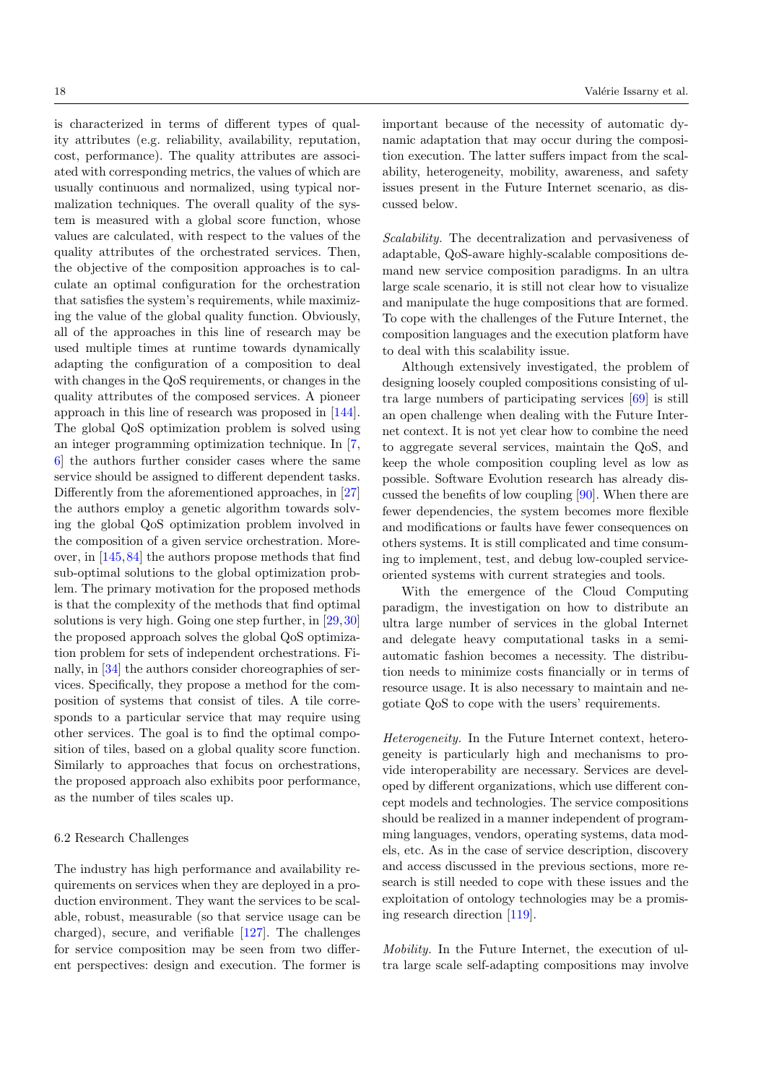is characterized in terms of different types of quality attributes (e.g. reliability, availability, reputation, cost, performance). The quality attributes are associated with corresponding metrics, the values of which are usually continuous and normalized, using typical normalization techniques. The overall quality of the system is measured with a global score function, whose values are calculated, with respect to the values of the quality attributes of the orchestrated services. Then, the objective of the composition approaches is to calculate an optimal configuration for the orchestration that satisfies the system's requirements, while maximizing the value of the global quality function. Obviously, all of the approaches in this line of research may be used multiple times at runtime towards dynamically adapting the configuration of a composition to deal with changes in the QoS requirements, or changes in the quality attributes of the composed services. A pioneer approach in this line of research was proposed in [\[144\]](#page-23-30). The global QoS optimization problem is solved using an integer programming optimization technique. In [\[7,](#page-19-6) [6\]](#page-19-7) the authors further consider cases where the same service should be assigned to different dependent tasks. Differently from the aforementioned approaches, in [\[27\]](#page-20-26) the authors employ a genetic algorithm towards solving the global QoS optimization problem involved in the composition of a given service orchestration. Moreover, in [\[145,](#page-24-5)[84\]](#page-22-23) the authors propose methods that find sub-optimal solutions to the global optimization problem. The primary motivation for the proposed methods is that the complexity of the methods that find optimal solutions is very high. Going one step further, in [\[29,](#page-20-27)[30\]](#page-20-28) the proposed approach solves the global QoS optimization problem for sets of independent orchestrations. Finally, in [\[34\]](#page-20-29) the authors consider choreographies of services. Specifically, they propose a method for the composition of systems that consist of tiles. A tile corresponds to a particular service that may require using other services. The goal is to find the optimal composition of tiles, based on a global quality score function. Similarly to approaches that focus on orchestrations, the proposed approach also exhibits poor performance, as the number of tiles scales up.

# 6.2 Research Challenges

The industry has high performance and availability requirements on services when they are deployed in a production environment. They want the services to be scalable, robust, measurable (so that service usage can be charged), secure, and verifiable [\[127\]](#page-23-31). The challenges for service composition may be seen from two different perspectives: design and execution. The former is important because of the necessity of automatic dynamic adaptation that may occur during the composition execution. The latter suffers impact from the scalability, heterogeneity, mobility, awareness, and safety issues present in the Future Internet scenario, as discussed below.

Scalability. The decentralization and pervasiveness of adaptable, QoS-aware highly-scalable compositions demand new service composition paradigms. In an ultra large scale scenario, it is still not clear how to visualize and manipulate the huge compositions that are formed. To cope with the challenges of the Future Internet, the composition languages and the execution platform have to deal with this scalability issue.

Although extensively investigated, the problem of designing loosely coupled compositions consisting of ultra large numbers of participating services [\[69\]](#page-21-32) is still an open challenge when dealing with the Future Internet context. It is not yet clear how to combine the need to aggregate several services, maintain the QoS, and keep the whole composition coupling level as low as possible. Software Evolution research has already discussed the benefits of low coupling [\[90\]](#page-22-35). When there are fewer dependencies, the system becomes more flexible and modifications or faults have fewer consequences on others systems. It is still complicated and time consuming to implement, test, and debug low-coupled serviceoriented systems with current strategies and tools.

With the emergence of the Cloud Computing paradigm, the investigation on how to distribute an ultra large number of services in the global Internet and delegate heavy computational tasks in a semiautomatic fashion becomes a necessity. The distribution needs to minimize costs financially or in terms of resource usage. It is also necessary to maintain and negotiate QoS to cope with the users' requirements.

Heterogeneity. In the Future Internet context, heterogeneity is particularly high and mechanisms to provide interoperability are necessary. Services are developed by different organizations, which use different concept models and technologies. The service compositions should be realized in a manner independent of programming languages, vendors, operating systems, data models, etc. As in the case of service description, discovery and access discussed in the previous sections, more research is still needed to cope with these issues and the exploitation of ontology technologies may be a promising research direction [\[119\]](#page-23-32).

Mobility. In the Future Internet, the execution of ultra large scale self-adapting compositions may involve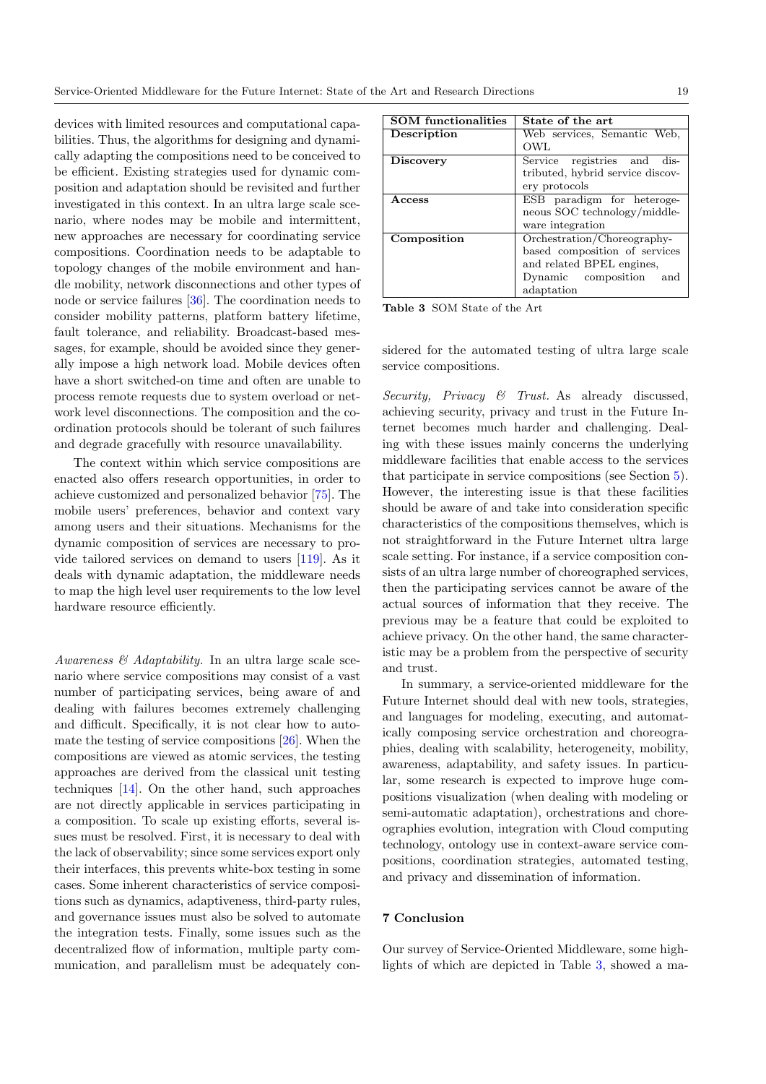devices with limited resources and computational capabilities. Thus, the algorithms for designing and dynamically adapting the compositions need to be conceived to be efficient. Existing strategies used for dynamic composition and adaptation should be revisited and further investigated in this context. In an ultra large scale scenario, where nodes may be mobile and intermittent, new approaches are necessary for coordinating service compositions. Coordination needs to be adaptable to topology changes of the mobile environment and handle mobility, network disconnections and other types of node or service failures [\[36\]](#page-20-30). The coordination needs to consider mobility patterns, platform battery lifetime, fault tolerance, and reliability. Broadcast-based messages, for example, should be avoided since they generally impose a high network load. Mobile devices often have a short switched-on time and often are unable to process remote requests due to system overload or network level disconnections. The composition and the coordination protocols should be tolerant of such failures and degrade gracefully with resource unavailability.

The context within which service compositions are enacted also offers research opportunities, in order to achieve customized and personalized behavior [\[75\]](#page-22-36). The mobile users' preferences, behavior and context vary among users and their situations. Mechanisms for the dynamic composition of services are necessary to provide tailored services on demand to users [\[119\]](#page-23-32). As it deals with dynamic adaptation, the middleware needs to map the high level user requirements to the low level hardware resource efficiently.

Awareness  $\mathcal{B}$  Adaptability. In an ultra large scale scenario where service compositions may consist of a vast number of participating services, being aware of and dealing with failures becomes extremely challenging and difficult. Specifically, it is not clear how to automate the testing of service compositions [\[26\]](#page-20-31). When the compositions are viewed as atomic services, the testing approaches are derived from the classical unit testing techniques [\[14\]](#page-20-32). On the other hand, such approaches are not directly applicable in services participating in a composition. To scale up existing efforts, several issues must be resolved. First, it is necessary to deal with the lack of observability; since some services export only their interfaces, this prevents white-box testing in some cases. Some inherent characteristics of service compositions such as dynamics, adaptiveness, third-party rules, and governance issues must also be solved to automate the integration tests. Finally, some issues such as the decentralized flow of information, multiple party communication, and parallelism must be adequately con-

| <b>SOM</b> functionalities | State of the art                 |
|----------------------------|----------------------------------|
| Description                | Web services, Semantic Web,      |
|                            | OWL                              |
| <b>Discovery</b>           | Service registries and<br>dis-   |
|                            | tributed, hybrid service discov- |
|                            | ery protocols                    |
| Access                     | ESB paradigm for heteroge-       |
|                            | neous SOC technology/middle-     |
|                            | ware integration                 |
| Composition                | Orchestration/Choreography-      |
|                            | based composition of services    |
|                            | and related BPEL engines,        |
|                            | Dynamic composition<br>and       |
|                            | adaptation                       |

<span id="page-18-1"></span>Table 3 SOM State of the Art

sidered for the automated testing of ultra large scale service compositions.

Security, Privacy & Trust. As already discussed, achieving security, privacy and trust in the Future Internet becomes much harder and challenging. Dealing with these issues mainly concerns the underlying middleware facilities that enable access to the services that participate in service compositions (see Section [5\)](#page-10-0). However, the interesting issue is that these facilities should be aware of and take into consideration specific characteristics of the compositions themselves, which is not straightforward in the Future Internet ultra large scale setting. For instance, if a service composition consists of an ultra large number of choreographed services, then the participating services cannot be aware of the actual sources of information that they receive. The previous may be a feature that could be exploited to achieve privacy. On the other hand, the same characteristic may be a problem from the perspective of security and trust.

In summary, a service-oriented middleware for the Future Internet should deal with new tools, strategies, and languages for modeling, executing, and automatically composing service orchestration and choreographies, dealing with scalability, heterogeneity, mobility, awareness, adaptability, and safety issues. In particular, some research is expected to improve huge compositions visualization (when dealing with modeling or semi-automatic adaptation), orchestrations and choreographies evolution, integration with Cloud computing technology, ontology use in context-aware service compositions, coordination strategies, automated testing, and privacy and dissemination of information.

# <span id="page-18-0"></span>7 Conclusion

Our survey of Service-Oriented Middleware, some highlights of which are depicted in Table [3,](#page-18-1) showed a ma-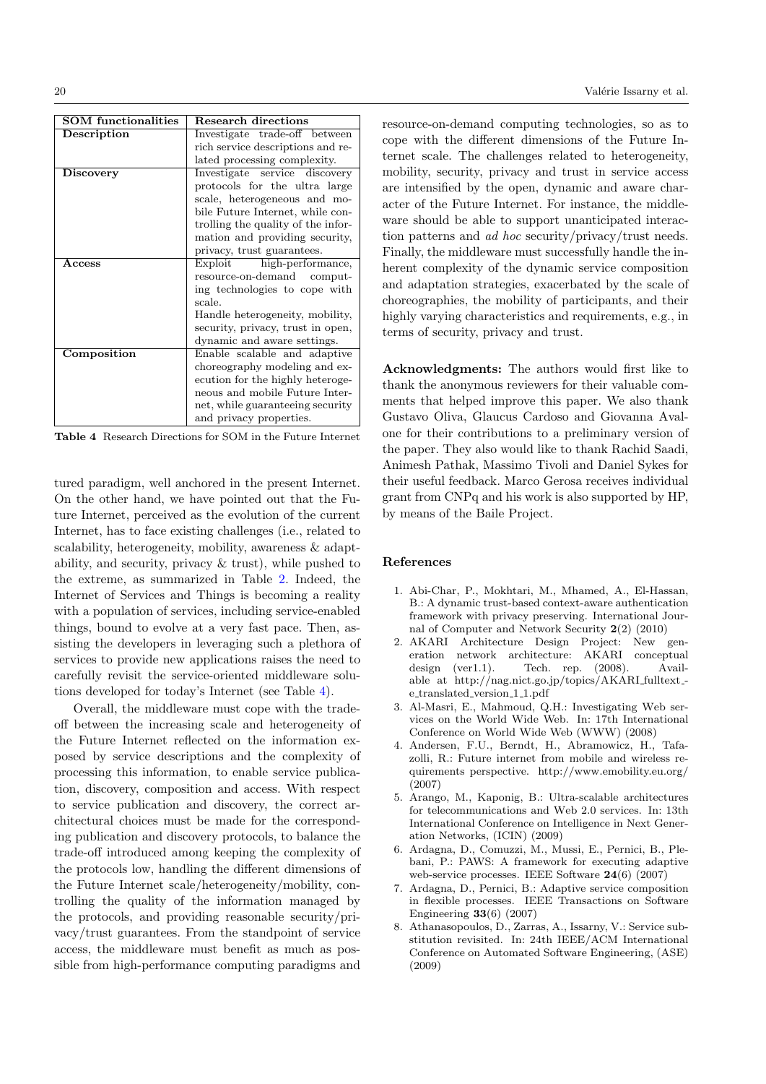| K. |   |
|----|---|
|    | I |

| <b>SOM</b> functionalities | Research directions                |
|----------------------------|------------------------------------|
| Description                | Investigate trade-off between      |
|                            | rich service descriptions and re-  |
|                            | lated processing complexity.       |
| <b>Discovery</b>           | Investigate service discovery      |
|                            | protocols for the ultra large      |
|                            | scale, heterogeneous and mo-       |
|                            | bile Future Internet, while con-   |
|                            | trolling the quality of the infor- |
|                            | mation and providing security,     |
|                            | privacy, trust guarantees.         |
| Access                     | high-performance,<br>Exploit       |
|                            | resource-on-demand<br>comput-      |
|                            | ing technologies to cope with      |
|                            | scale.                             |
|                            | Handle heterogeneity, mobility,    |
|                            | security, privacy, trust in open,  |
|                            | dynamic and aware settings.        |
| Composition                | Enable scalable and adaptive       |
|                            | choreography modeling and ex-      |
|                            | ecution for the highly heteroge-   |
|                            | neous and mobile Future Inter-     |
|                            | net, while guaranteeing security   |
|                            | and privacy properties.            |

<span id="page-19-8"></span>Table 4 Research Directions for SOM in the Future Internet

tured paradigm, well anchored in the present Internet. On the other hand, we have pointed out that the Future Internet, perceived as the evolution of the current Internet, has to face existing challenges (i.e., related to scalability, heterogeneity, mobility, awareness & adaptability, and security, privacy & trust), while pushed to the extreme, as summarized in Table [2.](#page-2-0) Indeed, the Internet of Services and Things is becoming a reality with a population of services, including service-enabled things, bound to evolve at a very fast pace. Then, assisting the developers in leveraging such a plethora of services to provide new applications raises the need to carefully revisit the service-oriented middleware solutions developed for today's Internet (see Table [4\)](#page-19-8).

Overall, the middleware must cope with the tradeoff between the increasing scale and heterogeneity of the Future Internet reflected on the information exposed by service descriptions and the complexity of processing this information, to enable service publication, discovery, composition and access. With respect to service publication and discovery, the correct architectural choices must be made for the corresponding publication and discovery protocols, to balance the trade-off introduced among keeping the complexity of the protocols low, handling the different dimensions of the Future Internet scale/heterogeneity/mobility, controlling the quality of the information managed by the protocols, and providing reasonable security/privacy/trust guarantees. From the standpoint of service access, the middleware must benefit as much as possible from high-performance computing paradigms and

resource-on-demand computing technologies, so as to cope with the different dimensions of the Future Internet scale. The challenges related to heterogeneity, mobility, security, privacy and trust in service access are intensified by the open, dynamic and aware character of the Future Internet. For instance, the middleware should be able to support unanticipated interaction patterns and ad hoc security/privacy/trust needs. Finally, the middleware must successfully handle the inherent complexity of the dynamic service composition and adaptation strategies, exacerbated by the scale of choreographies, the mobility of participants, and their highly varying characteristics and requirements, e.g., in terms of security, privacy and trust.

Acknowledgments: The authors would first like to thank the anonymous reviewers for their valuable comments that helped improve this paper. We also thank Gustavo Oliva, Glaucus Cardoso and Giovanna Avalone for their contributions to a preliminary version of the paper. They also would like to thank Rachid Saadi, Animesh Pathak, Massimo Tivoli and Daniel Sykes for their useful feedback. Marco Gerosa receives individual grant from CNPq and his work is also supported by HP, by means of the Baile Project.

#### References

- <span id="page-19-5"></span>1. Abi-Char, P., Mokhtari, M., Mhamed, A., El-Hassan, B.: A dynamic trust-based context-aware authentication framework with privacy preserving. International Journal of Computer and Network Security 2(2) (2010)
- <span id="page-19-1"></span>2. AKARI Architecture Design Project: New generation network architecture: AKARI conceptual design (ver1.1). Tech. rep. (2008). Available at  $\mathrm{http://nag.nict.gov.jp/topics/AKARI_fulltext\_}$ e\_translated\_version\_1\_1.pdf
- <span id="page-19-2"></span>3. Al-Masri, E., Mahmoud, Q.H.: Investigating Web services on the World Wide Web. In: 17th International Conference on World Wide Web (WWW) (2008)
- <span id="page-19-0"></span>4. Andersen, F.U., Berndt, H., Abramowicz, H., Tafazolli, R.: Future internet from mobile and wireless requirements perspective. http://www.emobility.eu.org/ (2007)
- <span id="page-19-4"></span>5. Arango, M., Kaponig, B.: Ultra-scalable architectures for telecommunications and Web 2.0 services. In: 13th International Conference on Intelligence in Next Generation Networks, (ICIN) (2009)
- <span id="page-19-7"></span>6. Ardagna, D., Comuzzi, M., Mussi, E., Pernici, B., Plebani, P.: PAWS: A framework for executing adaptive web-service processes. IEEE Software 24(6) (2007)
- <span id="page-19-6"></span>7. Ardagna, D., Pernici, B.: Adaptive service composition in flexible processes. IEEE Transactions on Software Engineering 33(6) (2007)
- <span id="page-19-3"></span>8. Athanasopoulos, D., Zarras, A., Issarny, V.: Service substitution revisited. In: 24th IEEE/ACM International Conference on Automated Software Engineering, (ASE) (2009)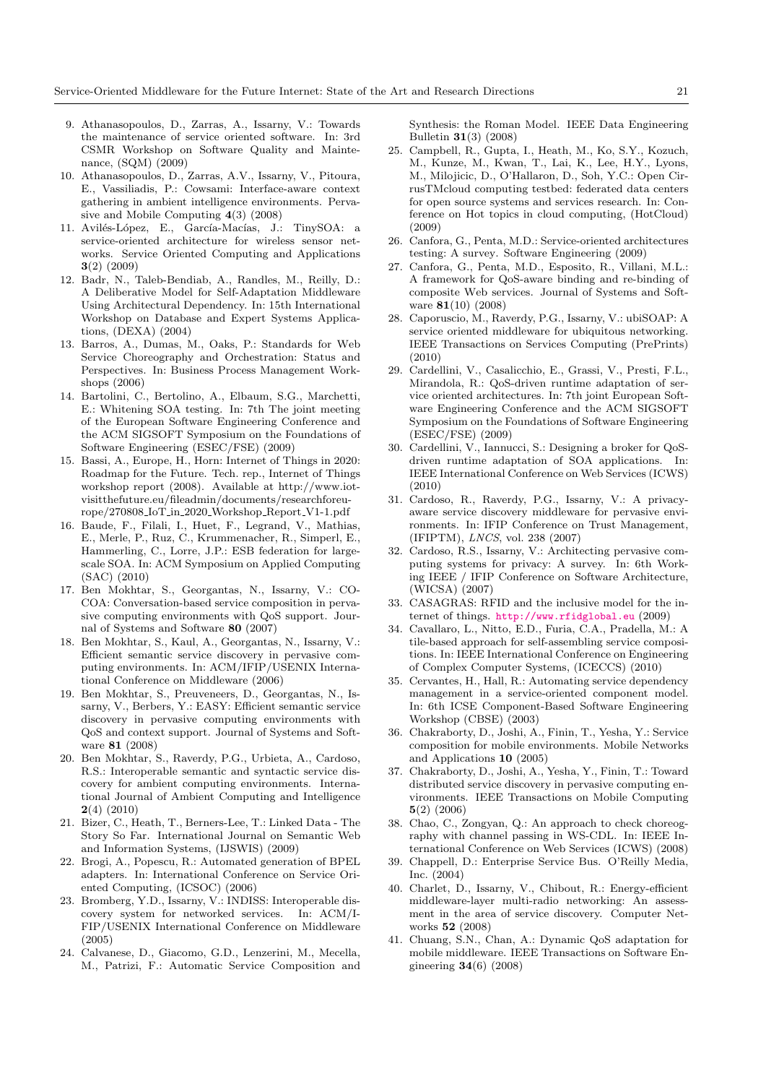- <span id="page-20-8"></span>9. Athanasopoulos, D., Zarras, A., Issarny, V.: Towards the maintenance of service oriented software. In: 3rd CSMR Workshop on Software Quality and Maintenance, (SQM) (2009)
- <span id="page-20-17"></span>10. Athanasopoulos, D., Zarras, A.V., Issarny, V., Pitoura, E., Vassiliadis, P.: Cowsami: Interface-aware context gathering in ambient intelligence environments. Pervasive and Mobile Computing 4(3) (2008)
- <span id="page-20-14"></span>11. Avilés-López, E., García-Macías, J.: TinySOA: a service-oriented architecture for wireless sensor networks. Service Oriented Computing and Applications 3(2) (2009)
- <span id="page-20-24"></span>12. Badr, N., Taleb-Bendiab, A., Randles, M., Reilly, D.: A Deliberative Model for Self-Adaptation Middleware Using Architectural Dependency. In: 15th International Workshop on Database and Expert Systems Applications, (DEXA) (2004)
- <span id="page-20-20"></span>13. Barros, A., Dumas, M., Oaks, P.: Standards for Web Service Choreography and Orchestration: Status and Perspectives. In: Business Process Management Workshops (2006)
- <span id="page-20-32"></span>14. Bartolini, C., Bertolino, A., Elbaum, S.G., Marchetti, E.: Whitening SOA testing. In: 7th The joint meeting of the European Software Engineering Conference and the ACM SIGSOFT Symposium on the Foundations of Software Engineering (ESEC/FSE) (2009)
- <span id="page-20-1"></span>15. Bassi, A., Europe, H., Horn: Internet of Things in 2020: Roadmap for the Future. Tech. rep., Internet of Things workshop report (2008). Available at http://www.iotvisitthefuture.eu/fileadmin/documents/researchforeurope/270808 IoT in 2020 Workshop Report V1-1.pdf
- <span id="page-20-12"></span>16. Baude, F., Filali, I., Huet, F., Legrand, V., Mathias, E., Merle, P., Ruz, C., Krummenacher, R., Simperl, E., Hammerling, C., Lorre, J.P.: ESB federation for largescale SOA. In: ACM Symposium on Applied Computing (SAC) (2010)
- <span id="page-20-16"></span>17. Ben Mokhtar, S., Georgantas, N., Issarny, V.: CO-COA: Conversation-based service composition in pervasive computing environments with QoS support. Journal of Systems and Software 80 (2007)
- <span id="page-20-9"></span>18. Ben Mokhtar, S., Kaul, A., Georgantas, N., Issarny, V.: Efficient semantic service discovery in pervasive computing environments. In: ACM/IFIP/USENIX International Conference on Middleware (2006)
- <span id="page-20-2"></span>19. Ben Mokhtar, S., Preuveneers, D., Georgantas, N., Issarny, V., Berbers, Y.: EASY: Efficient semantic service discovery in pervasive computing environments with QoS and context support. Journal of Systems and Software 81 (2008)
- <span id="page-20-4"></span>20. Ben Mokhtar, S., Raverdy, P.G., Urbieta, A., Cardoso, R.S.: Interoperable semantic and syntactic service discovery for ambient computing environments. International Journal of Ambient Computing and Intelligence  $2(4)$  (2010)
- <span id="page-20-3"></span>21. Bizer, C., Heath, T., Berners-Lee, T.: Linked Data - The Story So Far. International Journal on Semantic Web and Information Systems, (IJSWIS) (2009)
- <span id="page-20-22"></span>22. Brogi, A., Popescu, R.: Automated generation of BPEL adapters. In: International Conference on Service Oriented Computing, (ICSOC) (2006)
- <span id="page-20-6"></span>23. Bromberg, Y.D., Issarny, V.: INDISS: Interoperable discovery system for networked services. In: ACM/I-FIP/USENIX International Conference on Middleware (2005)
- <span id="page-20-23"></span>24. Calvanese, D., Giacomo, G.D., Lenzerini, M., Mecella, M., Patrizi, F.: Automatic Service Composition and

Synthesis: the Roman Model. IEEE Data Engineering Bulletin 31(3) (2008)

- <span id="page-20-13"></span>25. Campbell, R., Gupta, I., Heath, M., Ko, S.Y., Kozuch, M., Kunze, M., Kwan, T., Lai, K., Lee, H.Y., Lyons, M., Milojicic, D., O'Hallaron, D., Soh, Y.C.: Open CirrusTMcloud computing testbed: federated data centers for open source systems and services research. In: Conference on Hot topics in cloud computing, (HotCloud) (2009)
- <span id="page-20-31"></span>26. Canfora, G., Penta, M.D.: Service-oriented architectures testing: A survey. Software Engineering (2009)
- <span id="page-20-26"></span>27. Canfora, G., Penta, M.D., Esposito, R., Villani, M.L.: A framework for QoS-aware binding and re-binding of composite Web services. Journal of Systems and Software 81(10) (2008)
- <span id="page-20-15"></span>28. Caporuscio, M., Raverdy, P.G., Issarny, V.: ubiSOAP: A service oriented middleware for ubiquitous networking. IEEE Transactions on Services Computing (PrePrints) (2010)
- <span id="page-20-27"></span>29. Cardellini, V., Casalicchio, E., Grassi, V., Presti, F.L., Mirandola, R.: QoS-driven runtime adaptation of service oriented architectures. In: 7th joint European Software Engineering Conference and the ACM SIGSOFT Symposium on the Foundations of Software Engineering (ESEC/FSE) (2009)
- <span id="page-20-28"></span>30. Cardellini, V., Iannucci, S.: Designing a broker for QoSdriven runtime adaptation of SOA applications. In: IEEE International Conference on Web Services (ICWS) (2010)
- <span id="page-20-10"></span>31. Cardoso, R., Raverdy, P.G., Issarny, V.: A privacyaware service discovery middleware for pervasive environments. In: IFIP Conference on Trust Management, (IFIPTM), LNCS, vol. 238 (2007)
- <span id="page-20-7"></span>32. Cardoso, R.S., Issarny, V.: Architecting pervasive computing systems for privacy: A survey. In: 6th Working IEEE / IFIP Conference on Software Architecture, (WICSA) (2007)
- <span id="page-20-0"></span>33. CASAGRAS: RFID and the inclusive model for the internet of things. <http://www.rfidglobal.eu> (2009)
- <span id="page-20-29"></span>34. Cavallaro, L., Nitto, E.D., Furia, C.A., Pradella, M.: A tile-based approach for self-assembling service compositions. In: IEEE International Conference on Engineering of Complex Computer Systems, (ICECCS) (2010)
- <span id="page-20-25"></span>35. Cervantes, H., Hall, R.: Automating service dependency management in a service-oriented component model. In: 6th ICSE Component-Based Software Engineering Workshop (CBSE) (2003)
- <span id="page-20-30"></span>36. Chakraborty, D., Joshi, A., Finin, T., Yesha, Y.: Service composition for mobile environments. Mobile Networks and Applications 10 (2005)
- <span id="page-20-5"></span>37. Chakraborty, D., Joshi, A., Yesha, Y., Finin, T.: Toward distributed service discovery in pervasive computing environments. IEEE Transactions on Mobile Computing 5(2) (2006)
- <span id="page-20-21"></span>38. Chao, C., Zongyan, Q.: An approach to check choreography with channel passing in WS-CDL. In: IEEE International Conference on Web Services (ICWS) (2008)
- <span id="page-20-11"></span>39. Chappell, D.: Enterprise Service Bus. O'Reilly Media, Inc. (2004)
- <span id="page-20-19"></span>40. Charlet, D., Issarny, V., Chibout, R.: Energy-efficient middleware-layer multi-radio networking: An assessment in the area of service discovery. Computer Networks 52 (2008)
- <span id="page-20-18"></span>41. Chuang, S.N., Chan, A.: Dynamic QoS adaptation for mobile middleware. IEEE Transactions on Software Engineering 34(6) (2008)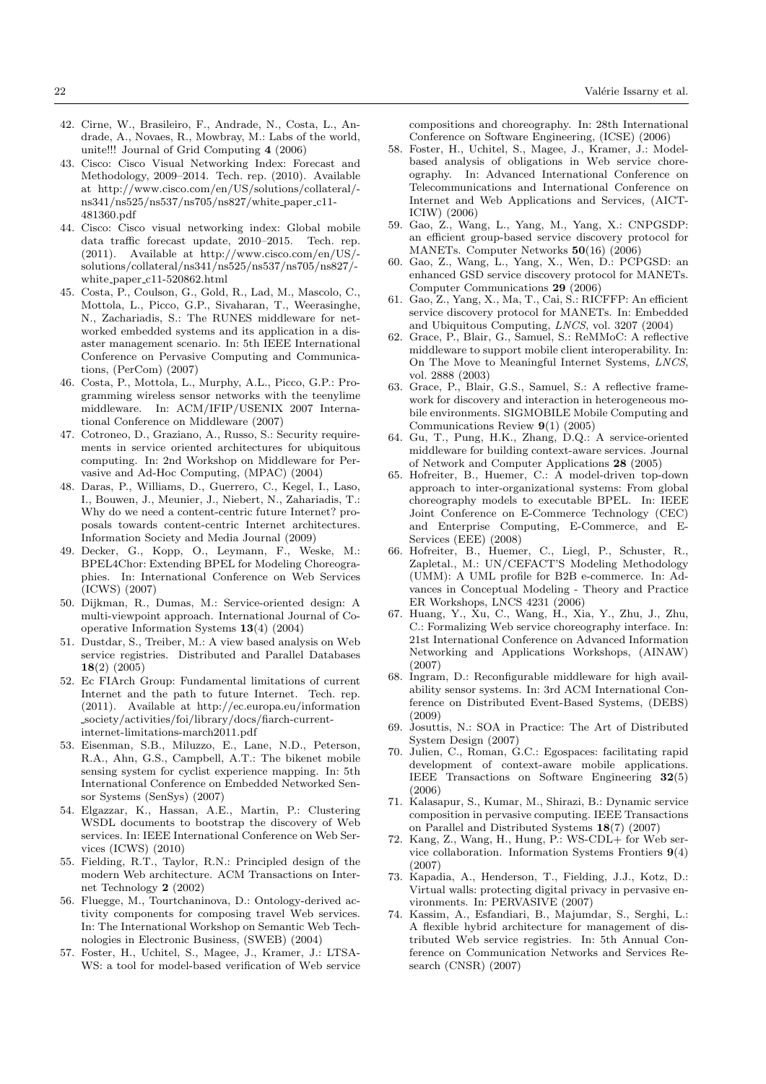- <span id="page-21-14"></span>42. Cirne, W., Brasileiro, F., Andrade, N., Costa, L., Andrade, A., Novaes, R., Mowbray, M.: Labs of the world, unite!!! Journal of Grid Computing 4 (2006)
- <span id="page-21-3"></span>43. Cisco: Cisco Visual Networking Index: Forecast and Methodology, 2009–2014. Tech. rep. (2010). Available at http://www.cisco.com/en/US/solutions/collateral/ ns341/ns525/ns537/ns705/ns827/white paper c11- 481360.pdf
- <span id="page-21-1"></span>44. Cisco: Cisco visual networking index: Global mobile data traffic forecast update, 2010–2015. Tech. rep. (2011). Available at http://www.cisco.com/en/US/ solutions/collateral/ns341/ns525/ns537/ns705/ns827/ white paper c11-520862.html
- <span id="page-21-20"></span>45. Costa, P., Coulson, G., Gold, R., Lad, M., Mascolo, C., Mottola, L., Picco, G.P., Sivaharan, T., Weerasinghe, N., Zachariadis, S.: The RUNES middleware for networked embedded systems and its application in a disaster management scenario. In: 5th IEEE International Conference on Pervasive Computing and Communications, (PerCom) (2007)
- <span id="page-21-19"></span>46. Costa, P., Mottola, L., Murphy, A.L., Picco, G.P.: Programming wireless sensor networks with the teenylime middleware. In: ACM/IFIP/USENIX 2007 International Conference on Middleware (2007)
- <span id="page-21-13"></span>47. Cotroneo, D., Graziano, A., Russo, S.: Security requirements in service oriented architectures for ubiquitous computing. In: 2nd Workshop on Middleware for Pervasive and Ad-Hoc Computing, (MPAC) (2004)
- <span id="page-21-0"></span>48. Daras, P., Williams, D., Guerrero, C., Kegel, I., Laso, I., Bouwen, J., Meunier, J., Niebert, N., Zahariadis, T.: Why do we need a content-centric future Internet? proposals towards content-centric Internet architectures. Information Society and Media Journal (2009)
- <span id="page-21-25"></span>49. Decker, G., Kopp, O., Leymann, F., Weske, M.: BPEL4Chor: Extending BPEL for Modeling Choreographies. In: International Conference on Web Services (ICWS) (2007)
- <span id="page-21-24"></span>50. Dijkman, R., Dumas, M.: Service-oriented design: A multi-viewpoint approach. International Journal of Cooperative Information Systems 13(4) (2004)
- <span id="page-21-6"></span>51. Dustdar, S., Treiber, M.: A view based analysis on Web service registries. Distributed and Parallel Databases 18(2) (2005)
- <span id="page-21-2"></span>52. Ec FIArch Group: Fundamental limitations of current Internet and the path to future Internet. Tech. rep. (2011). Available at http://ec.europa.eu/information society/activities/foi/library/docs/fiarch-currentinternet-limitations-march2011.pdf
- <span id="page-21-22"></span>53. Eisenman, S.B., Miluzzo, E., Lane, N.D., Peterson, R.A., Ahn, G.S., Campbell, A.T.: The bikenet mobile sensing system for cyclist experience mapping. In: 5th International Conference on Embedded Networked Sensor Systems (SenSys) (2007)
- <span id="page-21-7"></span>54. Elgazzar, K., Hassan, A.E., Martin, P.: Clustering WSDL documents to bootstrap the discovery of Web services. In: IEEE International Conference on Web Services (ICWS) (2010)
- <span id="page-21-4"></span>55. Fielding, R.T., Taylor, R.N.: Principled design of the modern Web architecture. ACM Transactions on Internet Technology 2 (2002)
- <span id="page-21-31"></span>56. Fluegge, M., Tourtchaninova, D.: Ontology-derived activity components for composing travel Web services. In: The International Workshop on Semantic Web Technologies in Electronic Business, (SWEB) (2004)
- <span id="page-21-5"></span>57. Foster, H., Uchitel, S., Magee, J., Kramer, J.: LTSA-WS: a tool for model-based verification of Web service

compositions and choreography. In: 28th International Conference on Software Engineering, (ICSE) (2006)

- <span id="page-21-27"></span>58. Foster, H., Uchitel, S., Magee, J., Kramer, J.: Modelbased analysis of obligations in Web service choreography. In: Advanced International Conference on Telecommunications and International Conference on Internet and Web Applications and Services, (AICT-ICIW) (2006)
- <span id="page-21-8"></span>59. Gao, Z., Wang, L., Yang, M., Yang, X.: CNPGSDP: an efficient group-based service discovery protocol for MANETs. Computer Networks 50(16) (2006)
- <span id="page-21-9"></span>60. Gao, Z., Wang, L., Yang, X., Wen, D.: PCPGSD: an enhanced GSD service discovery protocol for MANETs. Computer Communications 29 (2006)
- <span id="page-21-10"></span>61. Gao, Z., Yang, X., Ma, T., Cai, S.: RICFFP: An efficient service discovery protocol for MANETs. In: Embedded and Ubiquitous Computing, LNCS, vol. 3207 (2004)
- <span id="page-21-12"></span>62. Grace, P., Blair, G., Samuel, S.: ReMMoC: A reflective middleware to support mobile client interoperability. In: On The Move to Meaningful Internet Systems, LNCS, vol. 2888 (2003)
- <span id="page-21-15"></span>63. Grace, P., Blair, G.S., Samuel, S.: A reflective framework for discovery and interaction in heterogeneous mobile environments. SIGMOBILE Mobile Computing and Communications Review 9(1) (2005)
- <span id="page-21-17"></span>64. Gu, T., Pung, H.K., Zhang, D.Q.: A service-oriented middleware for building context-aware services. Journal of Network and Computer Applications 28 (2005)
- <span id="page-21-29"></span>65. Hofreiter, B., Huemer, C.: A model-driven top-down approach to inter-organizational systems: From global choreography models to executable BPEL. In: IEEE Joint Conference on E-Commerce Technology (CEC) and Enterprise Computing, E-Commerce, and E-Services (EEE) (2008)
- <span id="page-21-28"></span>66. Hofreiter, B., Huemer, C., Liegl, P., Schuster, R., Zapletal., M.: UN/CEFACT'S Modeling Methodology (UMM): A UML profile for B2B e-commerce. In: Advances in Conceptual Modeling - Theory and Practice ER Workshops, LNCS 4231 (2006)
- <span id="page-21-26"></span>67. Huang, Y., Xu, C., Wang, H., Xia, Y., Zhu, J., Zhu, C.: Formalizing Web service choreography interface. In: 21st International Conference on Advanced Information Networking and Applications Workshops, (AINAW) (2007)
- <span id="page-21-21"></span>68. Ingram, D.: Reconfigurable middleware for high availability sensor systems. In: 3rd ACM International Conference on Distributed Event-Based Systems, (DEBS) (2009)
- <span id="page-21-32"></span>69. Josuttis, N.: SOA in Practice: The Art of Distributed System Design (2007)
- <span id="page-21-18"></span>70. Julien, C., Roman, G.C.: Egospaces: facilitating rapid development of context-aware mobile applications. IEEE Transactions on Software Engineering 32(5) (2006)
- <span id="page-21-16"></span>71. Kalasapur, S., Kumar, M., Shirazi, B.: Dynamic service composition in pervasive computing. IEEE Transactions on Parallel and Distributed Systems 18(7) (2007)
- <span id="page-21-30"></span>72. Kang, Z., Wang, H., Hung, P.: WS-CDL+ for Web service collaboration. Information Systems Frontiers 9(4) (2007)
- <span id="page-21-23"></span>73. Kapadia, A., Henderson, T., Fielding, J.J., Kotz, D.: Virtual walls: protecting digital privacy in pervasive environments. In: PERVASIVE (2007)
- <span id="page-21-11"></span>74. Kassim, A., Esfandiari, B., Majumdar, S., Serghi, L.: A flexible hybrid architecture for management of distributed Web service registries. In: 5th Annual Conference on Communication Networks and Services Research (CNSR) (2007)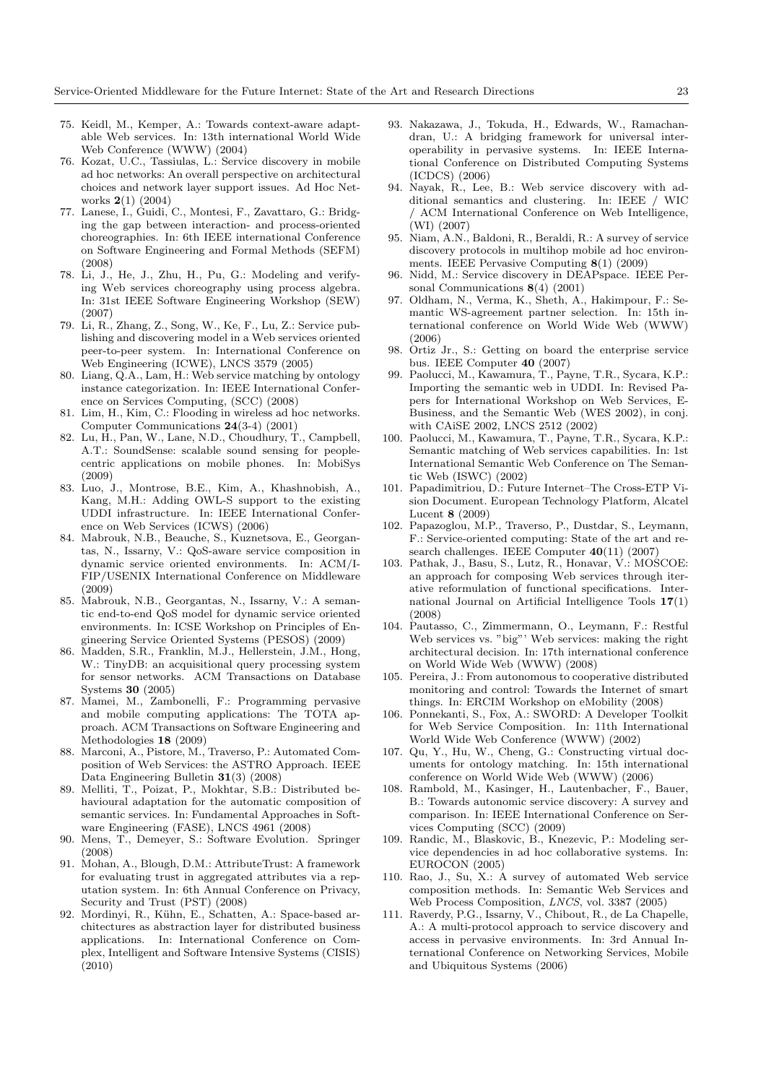- <span id="page-22-36"></span>75. Keidl, M., Kemper, A.: Towards context-aware adaptable Web services. In: 13th international World Wide Web Conference (WWW) (2004)
- <span id="page-22-17"></span>76. Kozat, U.C., Tassiulas, L.: Service discovery in mobile ad hoc networks: An overall perspective on architectural choices and network layer support issues. Ad Hoc Networks 2(1) (2004)
- <span id="page-22-28"></span>77. Lanese, I., Guidi, C., Montesi, F., Zavattaro, G.: Bridging the gap between interaction- and process-oriented choreographies. In: 6th IEEE international Conference on Software Engineering and Formal Methods (SEFM) (2008)
- <span id="page-22-29"></span>78. Li, J., He, J., Zhu, H., Pu, G.: Modeling and verifying Web services choreography using process algebra. In: 31st IEEE Software Engineering Workshop (SEW) (2007)
- <span id="page-22-16"></span>79. Li, R., Zhang, Z., Song, W., Ke, F., Lu, Z.: Service publishing and discovering model in a Web services oriented peer-to-peer system. In: International Conference on Web Engineering (ICWE), LNCS 3579 (2005)
- <span id="page-22-13"></span>80. Liang, Q.A., Lam, H.: Web service matching by ontology instance categorization. In: IEEE International Conference on Services Computing, (SCC) (2008)
- <span id="page-22-15"></span>81. Lim, H., Kim, C.: Flooding in wireless ad hoc networks. Computer Communications 24(3-4) (2001)
- <span id="page-22-25"></span>82. Lu, H., Pan, W., Lane, N.D., Choudhury, T., Campbell, A.T.: SoundSense: scalable sound sensing for peoplecentric applications on mobile phones. In: MobiSys (2009)
- <span id="page-22-11"></span>83. Luo, J., Montrose, B.E., Kim, A., Khashnobish, A., Kang, M.H.: Adding OWL-S support to the existing UDDI infrastructure. In: IEEE International Conference on Web Services (ICWS) (2006)
- <span id="page-22-23"></span>84. Mabrouk, N.B., Beauche, S., Kuznetsova, E., Georgantas, N., Issarny, V.: QoS-aware service composition in dynamic service oriented environments. In: ACM/I-FIP/USENIX International Conference on Middleware (2009)
- <span id="page-22-5"></span>85. Mabrouk, N.B., Georgantas, N., Issarny, V.: A semantic end-to-end QoS model for dynamic service oriented environments. In: ICSE Workshop on Principles of Engineering Service Oriented Systems (PESOS) (2009)
- <span id="page-22-24"></span>86. Madden, S.R., Franklin, M.J., Hellerstein, J.M., Hong, W.: TinyDB: an acquisitional query processing system for sensor networks. ACM Transactions on Database Systems 30 (2005)
- <span id="page-22-22"></span>87. Mamei, M., Zambonelli, F.: Programming pervasive and mobile computing applications: The TOTA approach. ACM Transactions on Software Engineering and Methodologies 18 (2009)
- <span id="page-22-30"></span>88. Marconi, A., Pistore, M., Traverso, P.: Automated Composition of Web Services: the ASTRO Approach. IEEE Data Engineering Bulletin 31(3) (2008)
- <span id="page-22-31"></span>89. Melliti, T., Poizat, P., Mokhtar, S.B.: Distributed behavioural adaptation for the automatic composition of semantic services. In: Fundamental Approaches in Software Engineering (FASE), LNCS 4961 (2008)
- <span id="page-22-35"></span>90. Mens, T., Demeyer, S.: Software Evolution. Springer (2008)
- <span id="page-22-26"></span>91. Mohan, A., Blough, D.M.: AttributeTrust: A framework for evaluating trust in aggregated attributes via a reputation system. In: 6th Annual Conference on Privacy, Security and Trust (PST) (2008)
- <span id="page-22-20"></span>92. Mordinyi, R., Kühn, E., Schatten, A.: Space-based architectures as abstraction layer for distributed business applications. In: International Conference on Complex, Intelligent and Software Intensive Systems (CISIS) (2010)
- <span id="page-22-21"></span>93. Nakazawa, J., Tokuda, H., Edwards, W., Ramachandran, U.: A bridging framework for universal interoperability in pervasive systems. In: IEEE International Conference on Distributed Computing Systems (ICDCS) (2006)
- <span id="page-22-12"></span>94. Nayak, R., Lee, B.: Web service discovery with additional semantics and clustering. In: IEEE / WIC / ACM International Conference on Web Intelligence, (WI) (2007)
- <span id="page-22-9"></span>95. Niam, A.N., Baldoni, R., Beraldi, R.: A survey of service discovery protocols in multihop mobile ad hoc environments. IEEE Pervasive Computing 8(1) (2009)
- <span id="page-22-14"></span>96. Nidd, M.: Service discovery in DEAPspace. IEEE Personal Communications 8(4) (2001)
- <span id="page-22-6"></span>97. Oldham, N., Verma, K., Sheth, A., Hakimpour, F.: Semantic WS-agreement partner selection. In: 15th international conference on World Wide Web (WWW) (2006)
- <span id="page-22-19"></span>98. Ortiz Jr., S.: Getting on board the enterprise service bus. IEEE Computer 40 (2007)
- <span id="page-22-10"></span>99. Paolucci, M., Kawamura, T., Payne, T.R., Sycara, K.P.: Importing the semantic web in UDDI. In: Revised Papers for International Workshop on Web Services, E-Business, and the Semantic Web (WES 2002), in conj. with CAiSE 2002, LNCS 2512 (2002)
- <span id="page-22-3"></span>100. Paolucci, M., Kawamura, T., Payne, T.R., Sycara, K.P.: Semantic matching of Web services capabilities. In: 1st International Semantic Web Conference on The Semantic Web (ISWC) (2002)
- <span id="page-22-1"></span>101. Papadimitriou, D.: Future Internet–The Cross-ETP Vision Document. European Technology Platform, Alcatel Lucent 8 (2009)
- <span id="page-22-0"></span>102. Papazoglou, M.P., Traverso, P., Dustdar, S., Leymann, F.: Service-oriented computing: State of the art and research challenges. IEEE Computer 40(11) (2007)
- <span id="page-22-32"></span>103. Pathak, J., Basu, S., Lutz, R., Honavar, V.: MOSCOE: an approach for composing Web services through iterative reformulation of functional specifications. International Journal on Artificial Intelligence Tools  $17(1)$ (2008)
- <span id="page-22-4"></span>104. Pautasso, C., Zimmermann, O., Leymann, F.: Restful Web services vs. "big"' Web services: making the right architectural decision. In: 17th international conference on World Wide Web (WWW) (2008)
- <span id="page-22-2"></span>105. Pereira, J.: From autonomous to cooperative distributed monitoring and control: Towards the Internet of smart things. In: ERCIM Workshop on eMobility (2008)
- <span id="page-22-33"></span>106. Ponnekanti, S., Fox, A.: SWORD: A Developer Toolkit for Web Service Composition. In: 11th International World Wide Web Conference (WWW) (2002)
- <span id="page-22-7"></span>107. Qu, Y., Hu, W., Cheng, G.: Constructing virtual documents for ontology matching. In: 15th international conference on World Wide Web (WWW) (2006)
- <span id="page-22-8"></span>108. Rambold, M., Kasinger, H., Lautenbacher, F., Bauer, B.: Towards autonomic service discovery: A survey and comparison. In: IEEE International Conference on Services Computing (SCC) (2009)
- <span id="page-22-34"></span>109. Randic, M., Blaskovic, B., Knezevic, P.: Modeling service dependencies in ad hoc collaborative systems. In: EUROCON (2005)
- <span id="page-22-27"></span>110. Rao, J., Su, X.: A survey of automated Web service composition methods. In: Semantic Web Services and Web Process Composition, LNCS, vol. 3387 (2005)
- <span id="page-22-18"></span>111. Raverdy, P.G., Issarny, V., Chibout, R., de La Chapelle, A.: A multi-protocol approach to service discovery and access in pervasive environments. In: 3rd Annual International Conference on Networking Services, Mobile and Ubiquitous Systems (2006)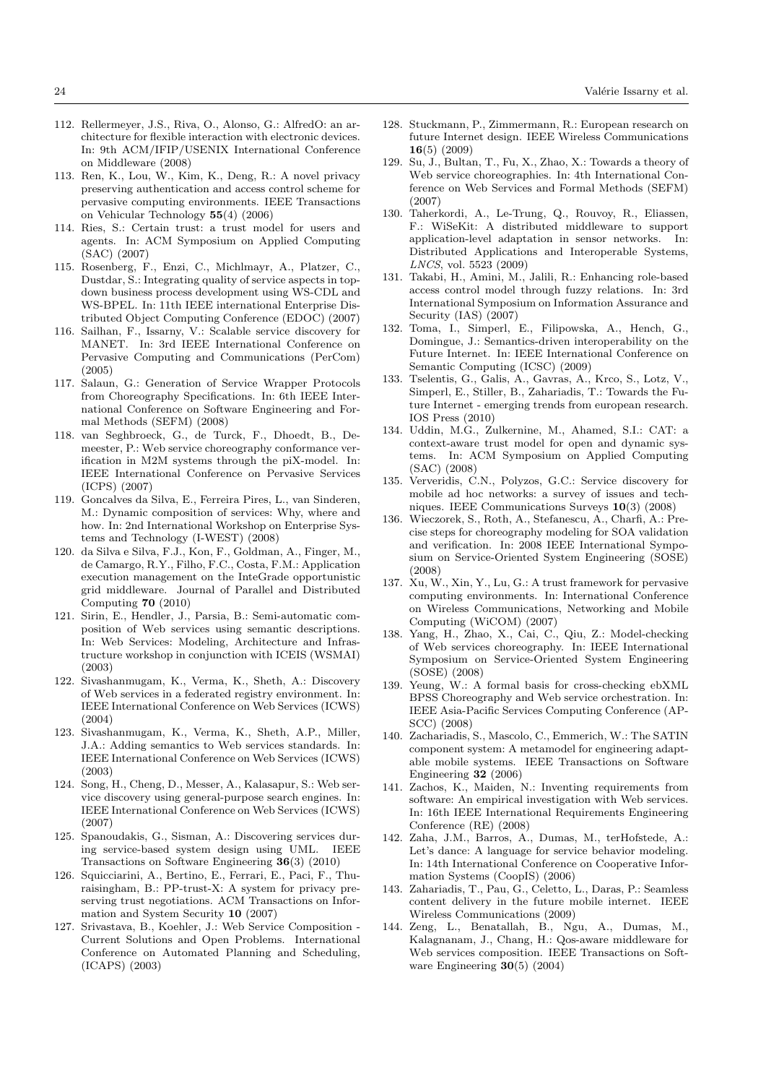- <span id="page-23-12"></span>112. Rellermeyer, J.S., Riva, O., Alonso, G.: AlfredO: an architecture for flexible interaction with electronic devices. In: 9th ACM/IFIP/USENIX International Conference on Middleware (2008)
- <span id="page-23-15"></span>113. Ren, K., Lou, W., Kim, K., Deng, R.: A novel privacy preserving authentication and access control scheme for pervasive computing environments. IEEE Transactions on Vehicular Technology 55(4) (2006)
- <span id="page-23-17"></span>114. Ries, S.: Certain trust: a trust model for users and agents. In: ACM Symposium on Applied Computing (SAC) (2007)
- <span id="page-23-26"></span>115. Rosenberg, F., Enzi, C., Michlmayr, A., Platzer, C., Dustdar, S.: Integrating quality of service aspects in topdown business process development using WS-CDL and WS-BPEL. In: 11th IEEE international Enterprise Distributed Object Computing Conference (EDOC) (2007)
- <span id="page-23-7"></span>116. Sailhan, F., Issarny, V.: Scalable service discovery for MANET. In: 3rd IEEE International Conference on Pervasive Computing and Communications (PerCom) (2005)
- <span id="page-23-27"></span>117. Salaun, G.: Generation of Service Wrapper Protocols from Choreography Specifications. In: 6th IEEE International Conference on Software Engineering and Formal Methods (SEFM) (2008)
- <span id="page-23-25"></span>118. van Seghbroeck, G., de Turck, F., Dhoedt, B., Demeester, P.: Web service choreography conformance verification in M2M systems through the piX-model. In: IEEE International Conference on Pervasive Services (ICPS) (2007)
- <span id="page-23-32"></span>119. Goncalves da Silva, E., Ferreira Pires, L., van Sinderen, M.: Dynamic composition of services: Why, where and how. In: 2nd International Workshop on Enterprise Systems and Technology (I-WEST) (2008)
- <span id="page-23-11"></span>120. da Silva e Silva, F.J., Kon, F., Goldman, A., Finger, M., de Camargo, R.Y., Filho, F.C., Costa, F.M.: Application execution management on the InteGrade opportunistic grid middleware. Journal of Parallel and Distributed Computing 70 (2010)
- <span id="page-23-29"></span>121. Sirin, E., Hendler, J., Parsia, B.: Semi-automatic composition of Web services using semantic descriptions. In: Web Services: Modeling, Architecture and Infrastructure workshop in conjunction with ICEIS (WSMAI) (2003)
- <span id="page-23-6"></span>122. Sivashanmugam, K., Verma, K., Sheth, A.: Discovery of Web services in a federated registry environment. In: IEEE International Conference on Web Services (ICWS) (2004)
- <span id="page-23-5"></span>123. Sivashanmugam, K., Verma, K., Sheth, A.P., Miller, J.A.: Adding semantics to Web services standards. In: IEEE International Conference on Web Services (ICWS) (2003)
- <span id="page-23-8"></span>124. Song, H., Cheng, D., Messer, A., Kalasapur, S.: Web service discovery using general-purpose search engines. In: IEEE International Conference on Web Services (ICWS) (2007)
- <span id="page-23-9"></span>125. Spanoudakis, G., Sisman, A.: Discovering services during service-based system design using UML. IEEE Transactions on Software Engineering 36(3) (2010)
- <span id="page-23-20"></span>126. Squicciarini, A., Bertino, E., Ferrari, E., Paci, F., Thuraisingham, B.: PP-trust-X: A system for privacy preserving trust negotiations. ACM Transactions on Information and System Security 10 (2007)
- <span id="page-23-31"></span>127. Srivastava, B., Koehler, J.: Web Service Composition - Current Solutions and Open Problems. International Conference on Automated Planning and Scheduling, (ICAPS) (2003)
- <span id="page-23-2"></span>128. Stuckmann, P., Zimmermann, R.: European research on future Internet design. IEEE Wireless Communications 16(5) (2009)
- <span id="page-23-28"></span>129. Su, J., Bultan, T., Fu, X., Zhao, X.: Towards a theory of Web service choreographies. In: 4th International Conference on Web Services and Formal Methods (SEFM) (2007)
- <span id="page-23-14"></span>130. Taherkordi, A., Le-Trung, Q., Rouvoy, R., Eliassen, F.: WiSeKit: A distributed middleware to support application-level adaptation in sensor networks. In: Distributed Applications and Interoperable Systems, LNCS, vol. 5523 (2009)
- <span id="page-23-16"></span>131. Takabi, H., Amini, M., Jalili, R.: Enhancing role-based access control model through fuzzy relations. In: 3rd International Symposium on Information Assurance and Security (IAS) (2007)
- <span id="page-23-3"></span>132. Toma, I., Simperl, E., Filipowska, A., Hench, G., Domingue, J.: Semantics-driven interoperability on the Future Internet. In: IEEE International Conference on Semantic Computing (ICSC) (2009)
- <span id="page-23-0"></span>133. Tselentis, G., Galis, A., Gavras, A., Krco, S., Lotz, V., Simperl, E., Stiller, B., Zahariadis, T.: Towards the Future Internet - emerging trends from european research. IOS Press (2010)
- <span id="page-23-19"></span>134. Uddin, M.G., Zulkernine, M., Ahamed, S.I.: CAT: a context-aware trust model for open and dynamic systems. In: ACM Symposium on Applied Computing (SAC) (2008)
- <span id="page-23-4"></span>135. Ververidis, C.N., Polyzos, G.C.: Service discovery for mobile ad hoc networks: a survey of issues and techniques. IEEE Communications Surveys 10(3) (2008)
- <span id="page-23-21"></span>136. Wieczorek, S., Roth, A., Stefanescu, A., Charfi, A.: Precise steps for choreography modeling for SOA validation and verification. In: 2008 IEEE International Symposium on Service-Oriented System Engineering (SOSE) (2008)
- <span id="page-23-18"></span>137. Xu, W., Xin, Y., Lu, G.: A trust framework for pervasive computing environments. In: International Conference on Wireless Communications, Networking and Mobile Computing (WiCOM) (2007)
- <span id="page-23-23"></span>138. Yang, H., Zhao, X., Cai, C., Qiu, Z.: Model-checking of Web services choreography. In: IEEE International Symposium on Service-Oriented System Engineering (SOSE) (2008)
- <span id="page-23-24"></span>139. Yeung, W.: A formal basis for cross-checking ebXML BPSS Choreography and Web service orchestration. In: IEEE Asia-Pacific Services Computing Conference (AP-SCC) (2008)
- <span id="page-23-13"></span>140. Zachariadis, S., Mascolo, C., Emmerich, W.: The SATIN component system: A metamodel for engineering adaptable mobile systems. IEEE Transactions on Software Engineering 32 (2006)
- <span id="page-23-10"></span>141. Zachos, K., Maiden, N.: Inventing requirements from software: An empirical investigation with Web services. In: 16th IEEE International Requirements Engineering Conference (RE) (2008)
- <span id="page-23-22"></span>142. Zaha, J.M., Barros, A., Dumas, M., terHofstede, A.: Let's dance: A language for service behavior modeling. In: 14th International Conference on Cooperative Information Systems (CoopIS) (2006)
- <span id="page-23-1"></span>143. Zahariadis, T., Pau, G., Celetto, L., Daras, P.: Seamless content delivery in the future mobile internet. IEEE Wireless Communications (2009)
- <span id="page-23-30"></span>144. Zeng, L., Benatallah, B., Ngu, A., Dumas, M., Kalagnanam, J., Chang, H.: Qos-aware middleware for Web services composition. IEEE Transactions on Software Engineering 30(5) (2004)